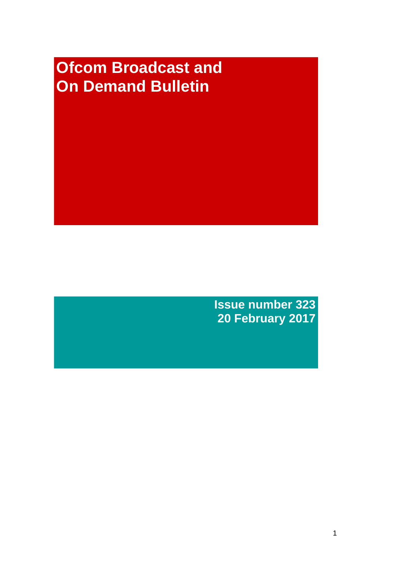# **Ofcom Broadcast and On Demand Bulletin**

**Issue number 323 20 February 2017**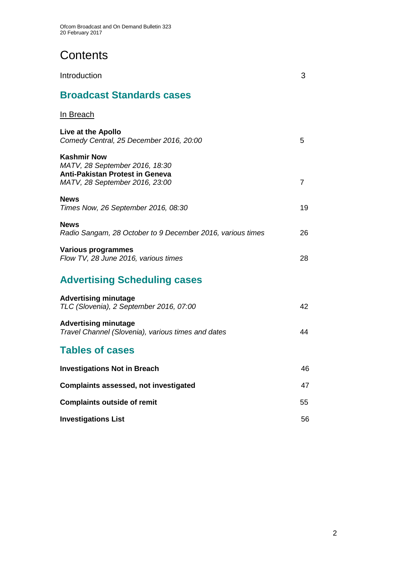# **Contents**

| Introduction                                                                                                                     | 3  |
|----------------------------------------------------------------------------------------------------------------------------------|----|
| <b>Broadcast Standards cases</b>                                                                                                 |    |
| In Breach                                                                                                                        |    |
| Live at the Apollo<br>Comedy Central, 25 December 2016, 20:00                                                                    | 5  |
| <b>Kashmir Now</b><br>MATV, 28 September 2016, 18:30<br><b>Anti-Pakistan Protest in Geneva</b><br>MATV, 28 September 2016, 23:00 | 7  |
| <b>News</b><br>Times Now, 26 September 2016, 08:30                                                                               | 19 |
| <b>News</b><br>Radio Sangam, 28 October to 9 December 2016, various times                                                        | 26 |
| <b>Various programmes</b><br>Flow TV, 28 June 2016, various times                                                                | 28 |
| <b>Advertising Scheduling cases</b>                                                                                              |    |
| <b>Advertising minutage</b><br>TLC (Slovenia), 2 September 2016, 07:00                                                           | 42 |
| <b>Advertising minutage</b><br>Travel Channel (Slovenia), various times and dates                                                | 44 |
| <b>Tables of cases</b>                                                                                                           |    |
| <b>Investigations Not in Breach</b>                                                                                              | 46 |
| <b>Complaints assessed, not investigated</b>                                                                                     | 47 |
| <b>Complaints outside of remit</b>                                                                                               | 55 |
| <b>Investigations List</b>                                                                                                       | 56 |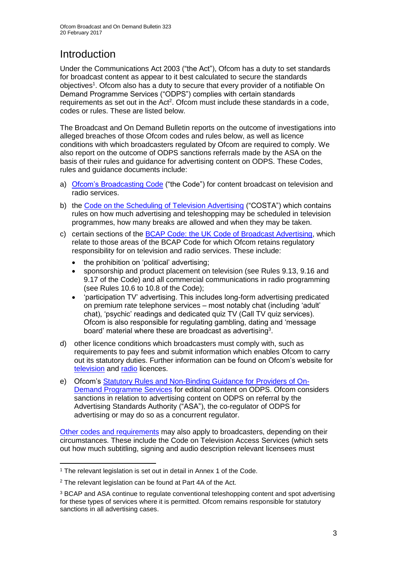# **Introduction**

Under the Communications Act 2003 ("the Act"), Ofcom has a duty to set standards for broadcast content as appear to it best calculated to secure the standards objectives<sup>1</sup>. Ofcom also has a duty to secure that every provider of a notifiable On Demand Programme Services ("ODPS") complies with certain standards requirements as set out in the Act<sup>2</sup>. Ofcom must include these standards in a code, codes or rules. These are listed below.

The Broadcast and On Demand Bulletin reports on the outcome of investigations into alleged breaches of those Ofcom codes and rules below, as well as licence conditions with which broadcasters regulated by Ofcom are required to comply. We also report on the outcome of ODPS sanctions referrals made by the ASA on the basis of their rules and guidance for advertising content on ODPS. These Codes, rules and guidance documents include:

- a) [Ofcom's Broadcasting Code](http://stakeholders.ofcom.org.uk/broadcasting/broadcast-codes/broadcast-code/) ("the Code") for content broadcast on television and radio services.
- b) the [Code on the Scheduling of Television Advertising](https://www.ofcom.org.uk/__data/assets/pdf_file/0014/32162/costa-april-2016.pdf) ("COSTA") which contains rules on how much advertising and teleshopping may be scheduled in television programmes, how many breaks are allowed and when they may be taken.
- c) certain sections of the [BCAP Code: the UK Code of Broadcast Advertising,](https://www.cap.org.uk/Advertising-Codes/Broadcast.aspx) which relate to those areas of the BCAP Code for which Ofcom retains regulatory responsibility for on television and radio services. These include:
	- the prohibition on 'political' advertising;
	- sponsorship and product placement on television (see Rules 9.13, 9.16 and 9.17 of the Code) and all commercial communications in radio programming (see Rules 10.6 to 10.8 of the Code);
	- 'participation TV' advertising. This includes long-form advertising predicated on premium rate telephone services – most notably chat (including 'adult' chat), 'psychic' readings and dedicated quiz TV (Call TV quiz services). Ofcom is also responsible for regulating gambling, dating and 'message board' material where these are broadcast as advertising<sup>3</sup>.
- d) other licence conditions which broadcasters must comply with, such as requirements to pay fees and submit information which enables Ofcom to carry out its statutory duties. Further information can be found on Ofcom's website for [television](http://licensing.ofcom.org.uk/tv-broadcast-licences/) and [radio](http://licensing.ofcom.org.uk/radio-broadcast-licensing/) licences.
- e) Ofcom's [Statutory Rules and Non-Binding Guidance for Providers of On-](http://stakeholders.ofcom.org.uk/binaries/broadcast/on-demand/rules-guidance/rules_and_guidance.pdf)[Demand Programme Services](http://stakeholders.ofcom.org.uk/binaries/broadcast/on-demand/rules-guidance/rules_and_guidance.pdf) for editorial content on ODPS. Ofcom considers sanctions in relation to advertising content on ODPS on referral by the Advertising Standards Authority ("ASA"), the co-regulator of ODPS for advertising or may do so as a concurrent regulator.

[Other codes and requirements](http://stakeholders.ofcom.org.uk/broadcasting/broadcast-codes/) may also apply to broadcasters, depending on their circumstances. These include the Code on Television Access Services (which sets out how much subtitling, signing and audio description relevant licensees must

<sup>1</sup> <sup>1</sup> The relevant legislation is set out in detail in Annex 1 of the Code.

<sup>&</sup>lt;sup>2</sup> The relevant legislation can be found at Part 4A of the Act.

<sup>3</sup> BCAP and ASA continue to regulate conventional teleshopping content and spot advertising for these types of services where it is permitted. Ofcom remains responsible for statutory sanctions in all advertising cases.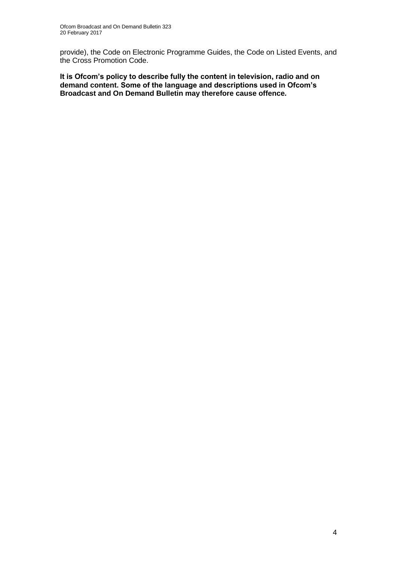provide), the Code on Electronic Programme Guides, the Code on Listed Events, and the Cross Promotion Code.

**It is Ofcom's policy to describe fully the content in television, radio and on demand content. Some of the language and descriptions used in Ofcom's Broadcast and On Demand Bulletin may therefore cause offence.**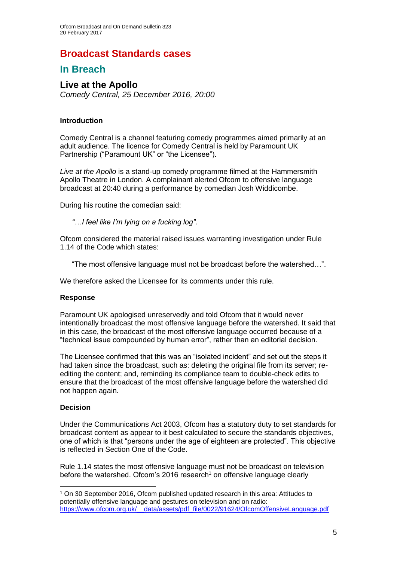### **Broadcast Standards cases**

### **In Breach**

### **Live at the Apollo**

*Comedy Central, 25 December 2016, 20:00*

#### **Introduction**

Comedy Central is a channel featuring comedy programmes aimed primarily at an adult audience. The licence for Comedy Central is held by Paramount UK Partnership ("Paramount UK" or "the Licensee").

*Live at the Apollo* is a stand-up comedy programme filmed at the Hammersmith Apollo Theatre in London. A complainant alerted Ofcom to offensive language broadcast at 20:40 during a performance by comedian Josh Widdicombe.

During his routine the comedian said:

*"…I feel like I'm lying on a fucking log"*.

Ofcom considered the material raised issues warranting investigation under Rule 1.14 of the Code which states:

"The most offensive language must not be broadcast before the watershed…".

We therefore asked the Licensee for its comments under this rule.

#### **Response**

Paramount UK apologised unreservedly and told Ofcom that it would never intentionally broadcast the most offensive language before the watershed. It said that in this case, the broadcast of the most offensive language occurred because of a "technical issue compounded by human error", rather than an editorial decision.

The Licensee confirmed that this was an "isolated incident" and set out the steps it had taken since the broadcast, such as: deleting the original file from its server; reediting the content; and, reminding its compliance team to double-check edits to ensure that the broadcast of the most offensive language before the watershed did not happen again.

#### **Decision**

1

Under the Communications Act 2003, Ofcom has a statutory duty to set standards for broadcast content as appear to it best calculated to secure the standards objectives, one of which is that "persons under the age of eighteen are protected". This objective is reflected in Section One of the Code.

Rule 1.14 states the most offensive language must not be broadcast on television before the watershed. Ofcom's 2016 research<sup>1</sup> on offensive language clearly

<sup>1</sup> On 30 September 2016, Ofcom published updated research in this area: Attitudes to potentially offensive language and gestures on television and on radio: [https://www.ofcom.org.uk/\\_\\_data/assets/pdf\\_file/0022/91624/OfcomOffensiveLanguage.pdf](https://www.ofcom.org.uk/__data/assets/pdf_file/0022/91624/OfcomOffensiveLanguage.pdf)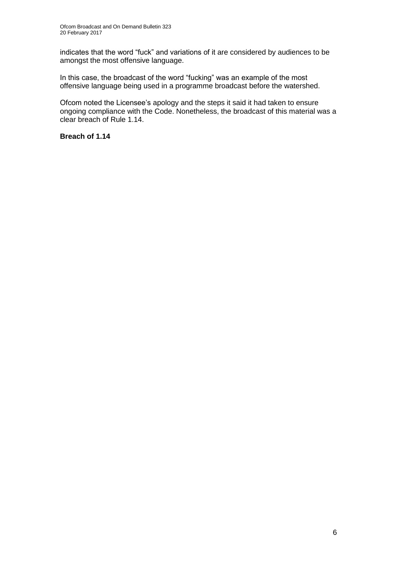indicates that the word "fuck" and variations of it are considered by audiences to be amongst the most offensive language.

In this case, the broadcast of the word "fucking" was an example of the most offensive language being used in a programme broadcast before the watershed.

Ofcom noted the Licensee's apology and the steps it said it had taken to ensure ongoing compliance with the Code. Nonetheless, the broadcast of this material was a clear breach of Rule 1.14.

#### **Breach of 1.14**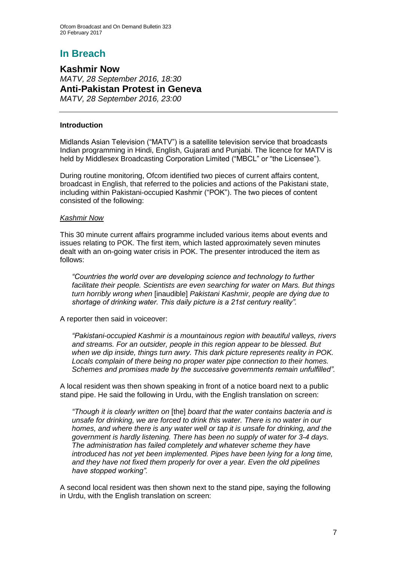### **In Breach**

**Kashmir Now** *MATV, 28 September 2016, 18:30* **Anti-Pakistan Protest in Geneva** *MATV, 28 September 2016, 23:00*

#### **Introduction**

Midlands Asian Television ("MATV") is a satellite television service that broadcasts Indian programming in Hindi, English, Gujarati and Punjabi. The licence for MATV is held by Middlesex Broadcasting Corporation Limited ("MBCL" or "the Licensee").

During routine monitoring, Ofcom identified two pieces of current affairs content, broadcast in English, that referred to the policies and actions of the Pakistani state, including within Pakistani-occupied Kashmir ("POK"). The two pieces of content consisted of the following:

#### *Kashmir Now*

This 30 minute current affairs programme included various items about events and issues relating to POK. The first item, which lasted approximately seven minutes dealt with an on-going water crisis in POK. The presenter introduced the item as follows:

*"Countries the world over are developing science and technology to further facilitate their people. Scientists are even searching for water on Mars. But things turn horribly wrong when* [inaudible] *Pakistani Kashmir, people are dying due to shortage of drinking water. This daily picture is a 21st century reality".*

A reporter then said in voiceover:

*"Pakistani-occupied Kashmir is a mountainous region with beautiful valleys, rivers and streams. For an outsider, people in this region appear to be blessed. But when we dip inside, things turn awry. This dark picture represents reality in POK. Locals complain of there being no proper water pipe connection to their homes. Schemes and promises made by the successive governments remain unfulfilled".*

A local resident was then shown speaking in front of a notice board next to a public stand pipe. He said the following in Urdu, with the English translation on screen:

*"Though it is clearly written on* [the] *board that the water contains bacteria and is unsafe for drinking, we are forced to drink this water. There is no water in our homes, and where there is any water well or tap it is unsafe for drinking, and the government is hardly listening. There has been no supply of water for 3-4 days. The administration has failed completely and whatever scheme they have introduced has not yet been implemented. Pipes have been lying for a long time, and they have not fixed them properly for over a year. Even the old pipelines have stopped working".*

A second local resident was then shown next to the stand pipe, saying the following in Urdu, with the English translation on screen: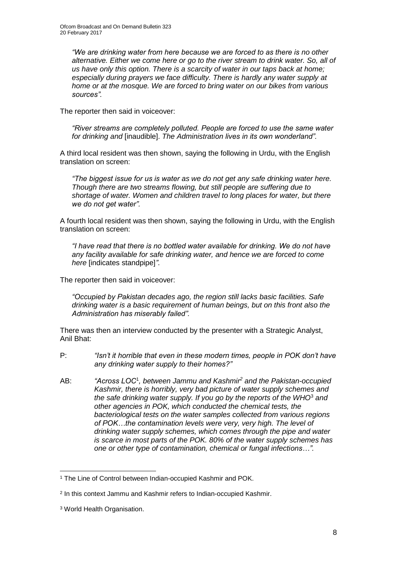*"We are drinking water from here because we are forced to as there is no other alternative. Either we come here or go to the river stream to drink water. So, all of us have only this option. There is a scarcity of water in our taps back at home; especially during prayers we face difficulty. There is hardly any water supply at home or at the mosque. We are forced to bring water on our bikes from various sources".*

The reporter then said in voiceover:

*"River streams are completely polluted. People are forced to use the same water for drinking and* [inaudible]. *The Administration lives in its own wonderland".*

A third local resident was then shown, saying the following in Urdu, with the English translation on screen:

*"The biggest issue for us is water as we do not get any safe drinking water here. Though there are two streams flowing, but still people are suffering due to shortage of water. Women and children travel to long places for water, but there we do not get water".*

A fourth local resident was then shown, saying the following in Urdu, with the English translation on screen:

*"I have read that there is no bottled water available for drinking. We do not have any facility available for safe drinking water, and hence we are forced to come here* [indicates standpipe]*"*.

The reporter then said in voiceover:

*"Occupied by Pakistan decades ago, the region still lacks basic facilities. Safe drinking water is a basic requirement of human beings, but on this front also the Administration has miserably failed".*

There was then an interview conducted by the presenter with a Strategic Analyst, Anil Bhat:

- P: *"Isn't it horrible that even in these modern times, people in POK don't have any drinking water supply to their homes?"*
- AB: *"Across LOC*<sup>1</sup> *, between Jammu and Kashmir<sup>2</sup> and the Pakistan-occupied Kashmir, there is horribly, very bad picture of water supply schemes and the safe drinking water supply. If you go by the reports of the WHO*<sup>3</sup> *and other agencies in POK, which conducted the chemical tests, the bacteriological tests on the water samples collected from various regions of POK…the contamination levels were very, very high. The level of drinking water supply schemes, which comes through the pipe and water is scarce in most parts of the POK. 80% of the water supply schemes has one or other type of contamination, chemical or fungal infections…".*

<sup>1</sup> <sup>1</sup> The Line of Control between Indian-occupied Kashmir and POK.

<sup>2</sup> In this context Jammu and Kashmir refers to Indian-occupied Kashmir.

<sup>3</sup> World Health Organisation.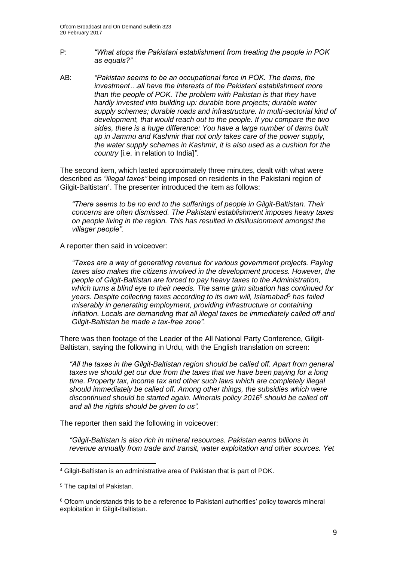- P: *"What stops the Pakistani establishment from treating the people in POK as equals?"*
- AB: *"Pakistan seems to be an occupational force in POK. The dams, the investment…all have the interests of the Pakistani establishment more than the people of POK. The problem with Pakistan is that they have hardly invested into building up: durable bore projects; durable water supply schemes; durable roads and infrastructure. In multi-sectorial kind of development, that would reach out to the people. If you compare the two sides, there is a huge difference: You have a large number of dams built up in Jammu and Kashmir that not only takes care of the power supply, the water supply schemes in Kashmir, it is also used as a cushion for the country* [i.e. in relation to India]*".*

The second item, which lasted approximately three minutes, dealt with what were described as *"illegal taxes"* being imposed on residents in the Pakistani region of Gilgit-Baltistan<sup>4</sup>. The presenter introduced the item as follows:

*"There seems to be no end to the sufferings of people in Gilgit-Baltistan. Their concerns are often dismissed. The Pakistani establishment imposes heavy taxes on people living in the region. This has resulted in disillusionment amongst the villager people".*

A reporter then said in voiceover:

*"Taxes are a way of generating revenue for various government projects. Paying taxes also makes the citizens involved in the development process. However, the people of Gilgit-Baltistan are forced to pay heavy taxes to the Administration, which turns a blind eye to their needs. The same grim situation has continued for years. Despite collecting taxes according to its own will, Islamabad*<sup>5</sup> *has failed miserably in generating employment, providing infrastructure or containing inflation. Locals are demanding that all illegal taxes be immediately called off and Gilgit-Baltistan be made a tax-free zone".*

There was then footage of the Leader of the All National Party Conference, Gilgit-Baltistan, saying the following in Urdu, with the English translation on screen:

*"All the taxes in the Gilgit-Baltistan region should be called off. Apart from general taxes we should get our due from the taxes that we have been paying for a long time. Property tax, income tax and other such laws which are completely illegal should immediately be called off. Among other things, the subsidies which were discontinued should be started again. Minerals policy 2016*<sup>6</sup> *should be called off and all the rights should be given to us".*

The reporter then said the following in voiceover:

*"Gilgit-Baltistan is also rich in mineral resources. Pakistan earns billions in revenue annually from trade and transit, water exploitation and other sources. Yet* 

<sup>4</sup> Gilgit-Baltistan is an administrative area of Pakistan that is part of POK.

<sup>5</sup> The capital of Pakistan.

<sup>6</sup> Ofcom understands this to be a reference to Pakistani authorities' policy towards mineral exploitation in Gilgit-Baltistan.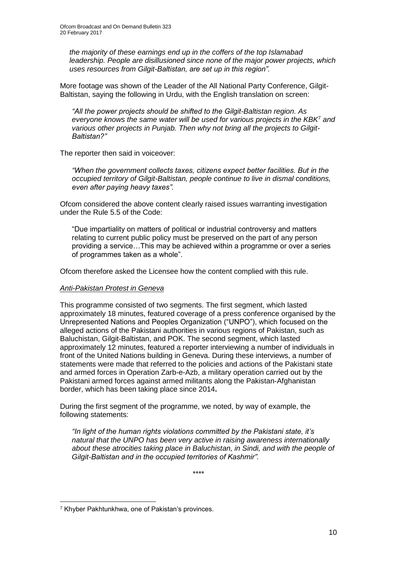*the majority of these earnings end up in the coffers of the top Islamabad leadership. People are disillusioned since none of the major power projects, which uses resources from Gilgit-Baltistan, are set up in this region".*

More footage was shown of the Leader of the All National Party Conference, Gilgit-Baltistan, saying the following in Urdu, with the English translation on screen:

*"All the power projects should be shifted to the Gilgit-Baltistan region. As everyone knows the same water will be used for various projects in the KBK*<sup>7</sup> *and various other projects in Punjab. Then why not bring all the projects to Gilgit-Baltistan?"*

The reporter then said in voiceover:

*"When the government collects taxes, citizens expect better facilities. But in the occupied territory of Gilgit-Baltistan, people continue to live in dismal conditions, even after paying heavy taxes".*

Ofcom considered the above content clearly raised issues warranting investigation under the Rule 5.5 of the Code:

"Due impartiality on matters of political or industrial controversy and matters relating to current public policy must be preserved on the part of any person providing a service…This may be achieved within a programme or over a series of programmes taken as a whole".

Ofcom therefore asked the Licensee how the content complied with this rule.

#### *Anti-Pakistan Protest in Geneva*

This programme consisted of two segments. The first segment, which lasted approximately 18 minutes, featured coverage of a press conference organised by the Unrepresented Nations and Peoples Organization ("UNPO"), which focused on the alleged actions of the Pakistani authorities in various regions of Pakistan, such as Baluchistan, Gilgit-Baltistan, and POK. The second segment, which lasted approximately 12 minutes, featured a reporter interviewing a number of individuals in front of the United Nations building in Geneva. During these interviews, a number of statements were made that referred to the policies and actions of the Pakistani state and armed forces in Operation Zarb-e-Azb, a military operation carried out by the Pakistani armed forces against armed militants along the Pakistan-Afghanistan border, which has been taking place since 2014**.**

During the first segment of the programme, we noted, by way of example, the following statements:

*"In light of the human rights violations committed by the Pakistani state, it's natural that the UNPO has been very active in raising awareness internationally about these atrocities taking place in Baluchistan, in Sindi, and with the people of Gilgit-Baltistan and in the occupied territories of Kashmir".*

\*\*\*\*

<sup>7</sup> Khyber Pakhtunkhwa, one of Pakistan's provinces.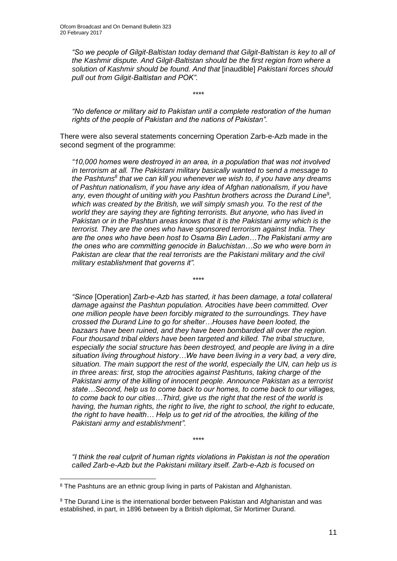*"So we people of Gilgit-Baltistan today demand that Gilgit-Baltistan is key to all of the Kashmir dispute. And Gilgit-Baltistan should be the first region from where a solution of Kashmir should be found. And that* [inaudible] *Pakistani forces should pull out from Gilgit-Baltistan and POK".* 

\*\*\*\*

*"No defence or military aid to Pakistan until a complete restoration of the human rights of the people of Pakistan and the nations of Pakistan".* 

There were also several statements concerning Operation Zarb-e-Azb made in the second segment of the programme:

*"10,000 homes were destroyed in an area, in a population that was not involved in terrorism at all. The Pakistani military basically wanted to send a message to*  the Pashtuns<sup>8</sup> that we can kill you whenever we wish to, if you have any dreams *of Pashtun nationalism, if you have any idea of Afghan nationalism, if you have*  any, even thought of uniting with you Pashtun brothers across the Durand Line<sup>9</sup>, *which was created by the British, we will simply smash you. To the rest of the world they are saying they are fighting terrorists. But anyone, who has lived in Pakistan or in the Pashtun areas knows that it is the Pakistani army which is the terrorist. They are the ones who have sponsored terrorism against India. They are the ones who have been host to Osama Bin Laden…The Pakistani army are the ones who are committing genocide in Baluchistan…So we who were born in Pakistan are clear that the real terrorists are the Pakistani military and the civil military establishment that governs it".*

\*\*\*\*

*"Since* [Operation] *Zarb-e-Azb has started, it has been damage, a total collateral damage against the Pashtun population. Atrocities have been committed. Over one million people have been forcibly migrated to the surroundings. They have crossed the Durand Line to go for shelter…Houses have been looted, the bazaars have been ruined, and they have been bombarded all over the region. Four thousand tribal elders have been targeted and killed. The tribal structure, especially the social structure has been destroyed, and people are living in a dire situation living throughout history…We have been living in a very bad, a very dire, situation. The main support the rest of the world, especially the UN, can help us is in three areas: first, stop the atrocities against Pashtuns, taking charge of the Pakistani army of the killing of innocent people. Announce Pakistan as a terrorist state…Second, help us to come back to our homes, to come back to our villages, to come back to our cities…Third, give us the right that the rest of the world is having, the human rights, the right to live, the right to school, the right to educate, the right to have health… Help us to get rid of the atrocities, the killing of the Pakistani army and establishment".*

*"I think the real culprit of human rights violations in Pakistan is not the operation called Zarb-e-Azb but the Pakistani military itself. Zarb-e-Azb is focused on* 

\*\*\*\*

<sup>8</sup> The Pashtuns are an ethnic group living in parts of Pakistan and Afghanistan.

<sup>9</sup> The Durand Line is the international border between Pakistan and Afghanistan and was established, in part, in 1896 between by a British diplomat, Sir Mortimer Durand.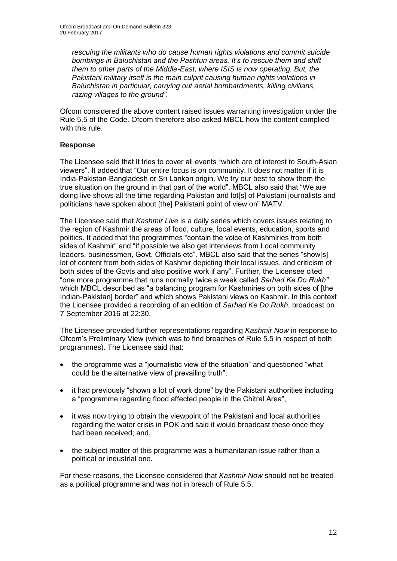*rescuing the militants who do cause human rights violations and commit suicide bombings in Baluchistan and the Pashtun areas. It's to rescue them and shift them to other parts of the Middle-East, where ISIS is now operating. But, the Pakistani military itself is the main culprit causing human rights violations in Baluchistan in particular, carrying out aerial bombardments, killing civilians, razing villages to the ground".*

Ofcom considered the above content raised issues warranting investigation under the Rule 5.5 of the Code. Ofcom therefore also asked MBCL how the content complied with this rule.

#### **Response**

The Licensee said that it tries to cover all events "which are of interest to South-Asian viewers". It added that "Our entire focus is on community. It does not matter if it is India-Pakistan-Bangladesh or Sri Lankan origin. We try our best to show them the true situation on the ground in that part of the world". MBCL also said that "We are doing live shows all the time regarding Pakistan and lot[s] of Pakistani journalists and politicians have spoken about [the] Pakistani point of view on" MATV.

The Licensee said that *Kashmir Live* is a daily series which covers issues relating to the region of Kashmir the areas of food, culture, local events, education, sports and politics. It added that the programmes "contain the voice of Kashmiries from both sides of Kashmir" and "if possible we also get interviews from Local community leaders, businessmen, Govt. Officials etc". MBCL also said that the series "show[s] lot of content from both sides of Kashmir depicting their local issues. and criticism of both sides of the Govts and also positive work if any". Further, the Licensee cited "one more programme that runs normally twice a week called *Sarhad Ke Do Rukh"*  which MBCL described as "a balancing program for Kashmiries on both sides of [the Indian-Pakistan] border" and which shows Pakistani views on Kashmir. In this context the Licensee provided a recording of an edition of *Sarhad Ke Do Rukh*, broadcast on 7 September 2016 at 22:30.

The Licensee provided further representations regarding *Kashmir Now* in response to Ofcom's Preliminary View (which was to find breaches of Rule 5.5 in respect of both programmes). The Licensee said that:

- the programme was a "journalistic view of the situation" and questioned "what could be the alternative view of prevailing truth";
- it had previously "shown a lot of work done" by the Pakistani authorities including a "programme regarding flood affected people in the Chitral Area";
- it was now trying to obtain the viewpoint of the Pakistani and local authorities regarding the water crisis in POK and said it would broadcast these once they had been received; and,
- the subject matter of this programme was a humanitarian issue rather than a political or industrial one.

For these reasons, the Licensee considered that *Kashmir Now* should not be treated as a political programme and was not in breach of Rule 5.5.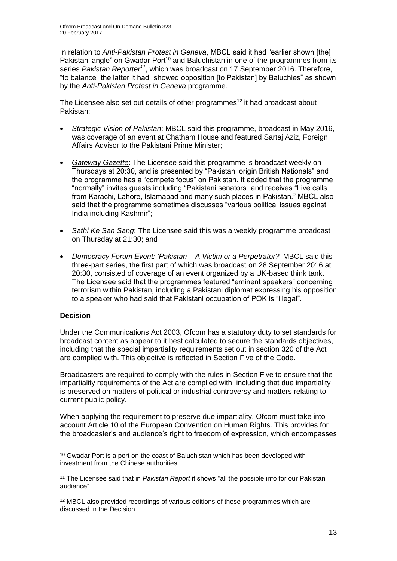In relation to *Anti-Pakistan Protest in Geneva*, MBCL said it had "earlier shown [the] Pakistani angle" on Gwadar Port<sup>10</sup> and Baluchistan in one of the programmes from its series *Pakistan Reporter<sup>11</sup>*, which was broadcast on 17 September 2016. Therefore, "to balance" the latter it had "showed opposition [to Pakistan] by Baluchies" as shown by the *Anti-Pakistan Protest in Geneva* programme.

The Licensee also set out details of other programmes<sup>12</sup> it had broadcast about Pakistan:

- *Strategic Vision of Pakistan*: MBCL said this programme, broadcast in May 2016, was coverage of an event at Chatham House and featured Sartaj Aziz, Foreign Affairs Advisor to the Pakistani Prime Minister;
- *Gateway Gazette*: The Licensee said this programme is broadcast weekly on Thursdays at 20:30, and is presented by "Pakistani origin British Nationals" and the programme has a "compete focus" on Pakistan. It added that the programme "normally" invites guests including "Pakistani senators" and receives "Live calls from Karachi, Lahore, Islamabad and many such places in Pakistan." MBCL also said that the programme sometimes discusses "various political issues against India including Kashmir";
- *Sathi Ke San Sang*: The Licensee said this was a weekly programme broadcast on Thursday at 21:30; and
- *Democracy Forum Event: 'Pakistan – A Victim or a Perpetrator?'* MBCL said this three-part series, the first part of which was broadcast on 28 September 2016 at 20:30, consisted of coverage of an event organized by a UK-based think tank. The Licensee said that the programmes featured "eminent speakers" concerning terrorism within Pakistan, including a Pakistani diplomat expressing his opposition to a speaker who had said that Pakistani occupation of POK is "illegal".

#### **Decision**

Under the Communications Act 2003, Ofcom has a statutory duty to set standards for broadcast content as appear to it best calculated to secure the standards objectives, including that the special impartiality requirements set out in section 320 of the Act are complied with. This objective is reflected in Section Five of the Code.

Broadcasters are required to comply with the rules in Section Five to ensure that the impartiality requirements of the Act are complied with, including that due impartiality is preserved on matters of political or industrial controversy and matters relating to current public policy.

When applying the requirement to preserve due impartiality, Ofcom must take into account Article 10 of the European Convention on Human Rights. This provides for the broadcaster's and audience's right to freedom of expression, which encompasses

<sup>1</sup> <sup>10</sup> Gwadar Port is a port on the coast of Baluchistan which has been developed with investment from the Chinese authorities.

<sup>11</sup> The Licensee said that in *Pakistan Report* it shows "all the possible info for our Pakistani audience".

<sup>12</sup> MBCL also provided recordings of various editions of these programmes which are discussed in the Decision.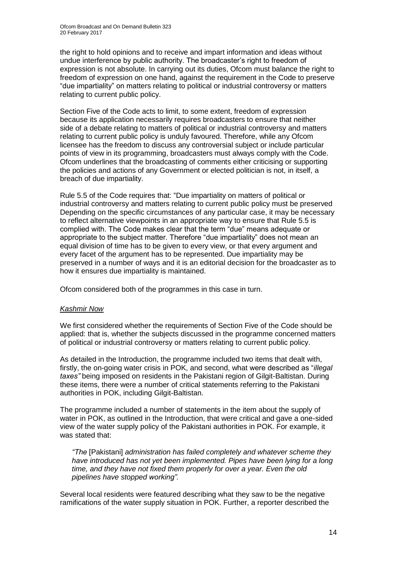the right to hold opinions and to receive and impart information and ideas without undue interference by public authority. The broadcaster's right to freedom of expression is not absolute. In carrying out its duties, Ofcom must balance the right to freedom of expression on one hand, against the requirement in the Code to preserve "due impartiality" on matters relating to political or industrial controversy or matters relating to current public policy.

Section Five of the Code acts to limit, to some extent, freedom of expression because its application necessarily requires broadcasters to ensure that neither side of a debate relating to matters of political or industrial controversy and matters relating to current public policy is unduly favoured. Therefore, while any Ofcom licensee has the freedom to discuss any controversial subject or include particular points of view in its programming, broadcasters must always comply with the Code. Ofcom underlines that the broadcasting of comments either criticising or supporting the policies and actions of any Government or elected politician is not, in itself, a breach of due impartiality.

Rule 5.5 of the Code requires that: "Due impartiality on matters of political or industrial controversy and matters relating to current public policy must be preserved Depending on the specific circumstances of any particular case, it may be necessary to reflect alternative viewpoints in an appropriate way to ensure that Rule 5.5 is complied with. The Code makes clear that the term "due" means adequate or appropriate to the subject matter. Therefore "due impartiality" does not mean an equal division of time has to be given to every view, or that every argument and every facet of the argument has to be represented. Due impartiality may be preserved in a number of ways and it is an editorial decision for the broadcaster as to how it ensures due impartiality is maintained.

Ofcom considered both of the programmes in this case in turn.

#### *Kashmir Now*

We first considered whether the requirements of Section Five of the Code should be applied: that is, whether the subjects discussed in the programme concerned matters of political or industrial controversy or matters relating to current public policy.

As detailed in the Introduction, the programme included two items that dealt with, firstly, the on-going water crisis in POK, and second, what were described as "*illegal taxes"* being imposed on residents in the Pakistani region of Gilgit-Baltistan. During these items, there were a number of critical statements referring to the Pakistani authorities in POK, including Gilgit-Baltistan.

The programme included a number of statements in the item about the supply of water in POK, as outlined in the Introduction, that were critical and gave a one-sided view of the water supply policy of the Pakistani authorities in POK. For example, it was stated that:

*"The* [Pakistani] *administration has failed completely and whatever scheme they have introduced has not yet been implemented. Pipes have been lying for a long time, and they have not fixed them properly for over a year. Even the old pipelines have stopped working".*

Several local residents were featured describing what they saw to be the negative ramifications of the water supply situation in POK. Further, a reporter described the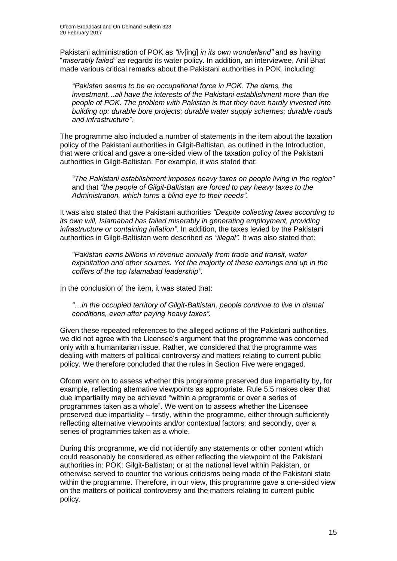Pakistani administration of POK as *"liv*[ing] *in its own wonderland"* and as having "*miserably failed"* as regards its water policy. In addition, an interviewee, Anil Bhat made various critical remarks about the Pakistani authorities in POK, including:

*"Pakistan seems to be an occupational force in POK. The dams, the investment…all have the interests of the Pakistani establishment more than the people of POK. The problem with Pakistan is that they have hardly invested into building up: durable bore projects; durable water supply schemes; durable roads and infrastructure".*

The programme also included a number of statements in the item about the taxation policy of the Pakistani authorities in Gilgit-Baltistan, as outlined in the Introduction, that were critical and gave a one-sided view of the taxation policy of the Pakistani authorities in Gilgit-Baltistan. For example, it was stated that:

*"The Pakistani establishment imposes heavy taxes on people living in the region"*  and that *"the people of Gilgit-Baltistan are forced to pay heavy taxes to the Administration, which turns a blind eye to their needs".*

It was also stated that the Pakistani authorities *"Despite collecting taxes according to its own will, Islamabad has failed miserably in generating employment, providing infrastructure or containing inflation".* In addition, the taxes levied by the Pakistani authorities in Gilgit-Baltistan were described as *"illegal".* It was also stated that:

*"Pakistan earns billions in revenue annually from trade and transit, water exploitation and other sources. Yet the majority of these earnings end up in the coffers of the top Islamabad leadership".*

In the conclusion of the item, it was stated that:

*"*…*in the occupied territory of Gilgit-Baltistan, people continue to live in dismal conditions, even after paying heavy taxes".*

Given these repeated references to the alleged actions of the Pakistani authorities, we did not agree with the Licensee's argument that the programme was concerned only with a humanitarian issue. Rather, we considered that the programme was dealing with matters of political controversy and matters relating to current public policy. We therefore concluded that the rules in Section Five were engaged.

Ofcom went on to assess whether this programme preserved due impartiality by, for example, reflecting alternative viewpoints as appropriate. Rule 5.5 makes clear that due impartiality may be achieved "within a programme or over a series of programmes taken as a whole". We went on to assess whether the Licensee preserved due impartiality – firstly, within the programme, either through sufficiently reflecting alternative viewpoints and/or contextual factors; and secondly, over a series of programmes taken as a whole.

During this programme, we did not identify any statements or other content which could reasonably be considered as either reflecting the viewpoint of the Pakistani authorities in: POK; Gilgit-Baltistan; or at the national level within Pakistan, or otherwise served to counter the various criticisms being made of the Pakistani state within the programme. Therefore, in our view, this programme gave a one-sided view on the matters of political controversy and the matters relating to current public policy.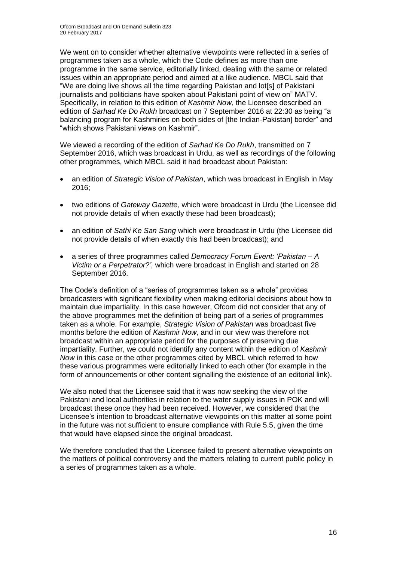We went on to consider whether alternative viewpoints were reflected in a series of programmes taken as a whole, which the Code defines as more than one programme in the same service, editorially linked, dealing with the same or related issues within an appropriate period and aimed at a like audience. MBCL said that "We are doing live shows all the time regarding Pakistan and lot[s] of Pakistani journalists and politicians have spoken about Pakistani point of view on" MATV. Specifically, in relation to this edition of *Kashmir Now*, the Licensee described an edition of *Sarhad Ke Do Rukh* broadcast on 7 September 2016 at 22:30 as being "a balancing program for Kashmiries on both sides of [the Indian-Pakistan] border" and "which shows Pakistani views on Kashmir".

We viewed a recording of the edition of *Sarhad Ke Do Rukh*, transmitted on 7 September 2016, which was broadcast in Urdu, as well as recordings of the following other programmes, which MBCL said it had broadcast about Pakistan:

- an edition of *Strategic Vision of Pakistan*, which was broadcast in English in May 2016;
- two editions of *Gateway Gazette,* which were broadcast in Urdu (the Licensee did not provide details of when exactly these had been broadcast);
- an edition of *Sathi Ke San Sang* which were broadcast in Urdu (the Licensee did not provide details of when exactly this had been broadcast); and
- a series of three programmes called *Democracy Forum Event: 'Pakistan – A Victim or a Perpetrator?'*, which were broadcast in English and started on 28 September 2016.

The Code's definition of a "series of programmes taken as a whole" provides broadcasters with significant flexibility when making editorial decisions about how to maintain due impartiality. In this case however, Ofcom did not consider that any of the above programmes met the definition of being part of a series of programmes taken as a whole. For example, *Strategic Vision of Pakistan* was broadcast five months before the edition of *Kashmir Now*, and in our view was therefore not broadcast within an appropriate period for the purposes of preserving due impartiality. Further, we could not identify any content within the edition of *Kashmir Now* in this case or the other programmes cited by MBCL which referred to how these various programmes were editorially linked to each other (for example in the form of announcements or other content signalling the existence of an editorial link).

We also noted that the Licensee said that it was now seeking the view of the Pakistani and local authorities in relation to the water supply issues in POK and will broadcast these once they had been received. However, we considered that the Licensee's intention to broadcast alternative viewpoints on this matter at some point in the future was not sufficient to ensure compliance with Rule 5.5, given the time that would have elapsed since the original broadcast.

We therefore concluded that the Licensee failed to present alternative viewpoints on the matters of political controversy and the matters relating to current public policy in a series of programmes taken as a whole.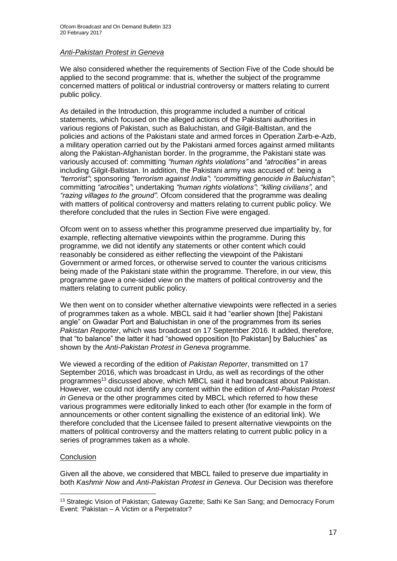#### *Anti-Pakistan Protest in Geneva*

We also considered whether the requirements of Section Five of the Code should be applied to the second programme: that is, whether the subject of the programme concerned matters of political or industrial controversy or matters relating to current public policy.

As detailed in the Introduction, this programme included a number of critical statements, which focused on the alleged actions of the Pakistani authorities in various regions of Pakistan, such as Baluchistan, and Gilgit-Baltistan, and the policies and actions of the Pakistani state and armed forces in Operation Zarb-e-Azb, a military operation carried out by the Pakistani armed forces against armed militants along the Pakistan-Afghanistan border. In the programme, the Pakistani state was variously accused of: committing *"human rights violations"* and *"atrocities"* in areas including Gilgit-Baltistan. In addition, the Pakistani army was accused of: being a *"terrorist"*; sponsoring *"terrorism against India"*; *"committing genocide in Baluchistan"*; committing *"atrocities"*; undertaking *"human rights violations"*; *"killing civilians",* and *"razing villages to the ground".* Ofcom considered that the programme was dealing with matters of political controversy and matters relating to current public policy. We therefore concluded that the rules in Section Five were engaged.

Ofcom went on to assess whether this programme preserved due impartiality by, for example, reflecting alternative viewpoints within the programme. During this programme, we did not identify any statements or other content which could reasonably be considered as either reflecting the viewpoint of the Pakistani Government or armed forces, or otherwise served to counter the various criticisms being made of the Pakistani state within the programme. Therefore, in our view, this programme gave a one-sided view on the matters of political controversy and the matters relating to current public policy.

We then went on to consider whether alternative viewpoints were reflected in a series of programmes taken as a whole. MBCL said it had "earlier shown [the] Pakistani angle" on Gwadar Port and Baluchistan in one of the programmes from its series *Pakistan Reporter*, which was broadcast on 17 September 2016. It added, therefore, that "to balance" the latter it had "showed opposition [to Pakistan] by Baluchies" as shown by the *Anti-Pakistan Protest in Geneva* programme.

We viewed a recording of the edition of *Pakistan Reporter*, transmitted on 17 September 2016, which was broadcast in Urdu, as well as recordings of the other programmes<sup>13</sup> discussed above, which MBCL said it had broadcast about Pakistan. However, we could not identify any content within the edition of *Anti-Pakistan Protest in Geneva* or the other programmes cited by MBCL which referred to how these various programmes were editorially linked to each other (for example in the form of announcements or other content signalling the existence of an editorial link). We therefore concluded that the Licensee failed to present alternative viewpoints on the matters of political controversy and the matters relating to current public policy in a series of programmes taken as a whole.

#### **Conclusion**

1

Given all the above, we considered that MBCL failed to preserve due impartiality in both *Kashmir Now* and *Anti-Pakistan Protest in Geneva*. Our Decision was therefore

<sup>&</sup>lt;sup>13</sup> Strategic Vision of Pakistan; Gateway Gazette; Sathi Ke San Sang; and Democracy Forum Event: 'Pakistan – A Victim or a Perpetrator?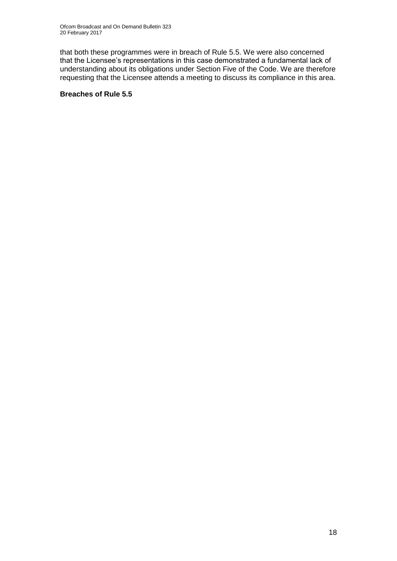that both these programmes were in breach of Rule 5.5. We were also concerned that the Licensee's representations in this case demonstrated a fundamental lack of understanding about its obligations under Section Five of the Code. We are therefore requesting that the Licensee attends a meeting to discuss its compliance in this area.

#### **Breaches of Rule 5.5**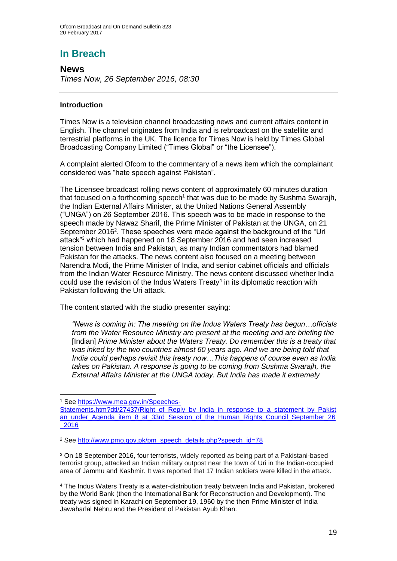### **In Breach**

**News** *Times Now, 26 September 2016, 08:30*

#### **Introduction**

Times Now is a television channel broadcasting news and current affairs content in English. The channel originates from India and is rebroadcast on the satellite and terrestrial platforms in the UK. The licence for Times Now is held by Times Global Broadcasting Company Limited ("Times Global" or "the Licensee").

A complaint alerted Ofcom to the commentary of a news item which the complainant considered was "hate speech against Pakistan".

The Licensee broadcast rolling news content of approximately 60 minutes duration that focused on a forthcoming speech<sup>1</sup> that was due to be made by Sushma Swarajh, the Indian External Affairs Minister, at the United Nations General Assembly ("UNGA") on 26 September 2016. This speech was to be made in response to the speech made by Nawaz Sharif, the Prime Minister of Pakistan at the UNGA, on 21 September 2016<sup>2</sup>. These speeches were made against the background of the "Uri attack"<sup>3</sup> which had happened on 18 September 2016 and had seen increased tension between India and Pakistan, as many Indian commentators had blamed Pakistan for the attacks. The news content also focused on a meeting between Narendra Modi, the Prime Minister of India, and senior cabinet officials and officials from the Indian Water Resource Ministry. The news content discussed whether India could use the revision of the Indus Waters Treaty<sup>4</sup> in its diplomatic reaction with Pakistan following the Uri attack.

The content started with the studio presenter saying:

*"News is coming in: The meeting on the Indus Waters Treaty has begun…officials from the Water Resource Ministry are present at the meeting and are briefing the*  [Indian] *Prime Minister about the Waters Treaty. Do remember this is a treaty that was inked by the two countries almost 60 years ago. And we are being told that India could perhaps revisit this treaty now…This happens of course even as India takes on Pakistan. A response is going to be coming from Sushma Swarajh, the External Affairs Minister at the UNGA today. But India has made it extremely* 

<sup>3</sup> On 18 September 2016, four terrorists, widely reported as being part of a Pakistani-based terrorist group, attacked an Indian military outpost near the town of Uri in the Indian-occupied area of Jammu and Kashmir. It was reported that 17 Indian soldiers were killed in the attack.

<sup>1</sup> <sup>1</sup> See [https://www.mea.gov.in/Speeches-](https://www.mea.gov.in/Speeches-Statements.htm?dtl/27437/Right_of_Reply_by_India_in_response_to_a_statement_by_Pakistan_under_Agenda_item_8_at_33rd_Session_of_the_Human_Rights_Council_September_26_2016)

[Statements.htm?dtl/27437/Right\\_of\\_Reply\\_by\\_India\\_in\\_response\\_to\\_a\\_statement\\_by\\_Pakist](https://www.mea.gov.in/Speeches-Statements.htm?dtl/27437/Right_of_Reply_by_India_in_response_to_a_statement_by_Pakistan_under_Agenda_item_8_at_33rd_Session_of_the_Human_Rights_Council_September_26_2016) [an\\_under\\_Agenda\\_item\\_8\\_at\\_33rd\\_Session\\_of\\_the\\_Human\\_Rights\\_Council\\_September\\_26](https://www.mea.gov.in/Speeches-Statements.htm?dtl/27437/Right_of_Reply_by_India_in_response_to_a_statement_by_Pakistan_under_Agenda_item_8_at_33rd_Session_of_the_Human_Rights_Council_September_26_2016) [\\_2016](https://www.mea.gov.in/Speeches-Statements.htm?dtl/27437/Right_of_Reply_by_India_in_response_to_a_statement_by_Pakistan_under_Agenda_item_8_at_33rd_Session_of_the_Human_Rights_Council_September_26_2016)

<sup>2</sup> See [http://www.pmo.gov.pk/pm\\_speech\\_details.php?speech\\_id=78](http://www.pmo.gov.pk/pm_speech_details.php?speech_id=78)

<sup>4</sup> The Indus Waters Treaty is a water-distribution treaty between India and Pakistan, brokered by the World Bank (then the International Bank for Reconstruction and Development). The treaty was signed in Karachi on September 19, 1960 by the then Prime Minister of India Jawaharlal Nehru and the President of Pakistan Ayub Khan.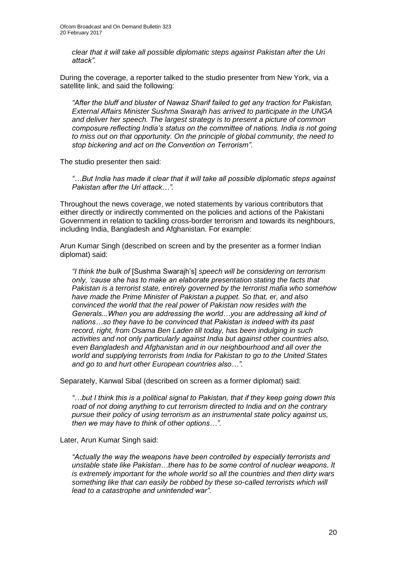*clear that it will take all possible diplomatic steps against Pakistan after the Uri attack".*

During the coverage, a reporter talked to the studio presenter from New York, via a satellite link, and said the following:

*"After the bluff and bluster of Nawaz Sharif failed to get any traction for Pakistan, External Affairs Minister Sushma Swarajh has arrived to participate in the UNGA and deliver her speech. The largest strategy is to present a picture of common composure reflecting India's status on the committee of nations. India is not going to miss out on that opportunity. On the principle of global community, the need to stop bickering and act on the Convention on Terrorism".*

The studio presenter then said:

*"…But India has made it clear that it will take all possible diplomatic steps against Pakistan after the Uri attack…".*

Throughout the news coverage, we noted statements by various contributors that either directly or indirectly commented on the policies and actions of the Pakistani Government in relation to tackling cross-border terrorism and towards its neighbours, including India, Bangladesh and Afghanistan. For example:

Arun Kumar Singh (described on screen and by the presenter as a former Indian diplomat) said:

*"I think the bulk of* [Sushma Swarajh's] *speech will be considering on terrorism only, 'cause she has to make an elaborate presentation stating the facts that Pakistan is a terrorist state, entirely governed by the terrorist mafia who somehow have made the Prime Minister of Pakistan a puppet. So that, er, and also convinced the world that the real power of Pakistan now resides with the Generals...When you are addressing the world…you are addressing all kind of nations…so they have to be convinced that Pakistan is indeed with its past record, right, from Osama Ben Laden till today, has been indulging in such activities and not only particularly against India but against other countries also, even Bangladesh and Afghanistan and in our neighbourhood and all over the world and supplying terrorists from India for Pakistan to go to the United States and go to and hurt other European countries also…".*

Separately, Kanwal Sibal (described on screen as a former diplomat) said:

*"…but I think this is a political signal to Pakistan, that if they keep going down this road of not doing anything to cut terrorism directed to India and on the contrary pursue their policy of using terrorism as an instrumental state policy against us, then we may have to think of other options…".*

Later, Arun Kumar Singh said:

*"Actually the way the weapons have been controlled by especially terrorists and unstable state like Pakistan…there has to be some control of nuclear weapons. It is extremely important for the whole world so all the countries and then dirty wars something like that can easily be robbed by these so-called terrorists which will lead to a catastrophe and unintended war".*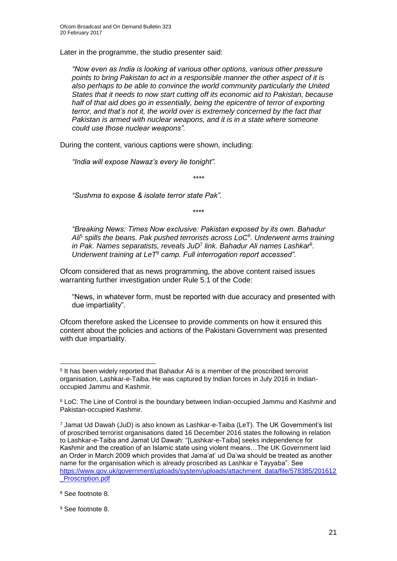Later in the programme, the studio presenter said:

*"Now even as India is looking at various other options, various other pressure points to bring Pakistan to act in a responsible manner the other aspect of it is also perhaps to be able to convince the world community particularly the United States that it needs to now start cutting off its economic aid to Pakistan, because half of that aid does go in essentially, being the epicentre of terror of exporting terror, and that's not it, the world over is extremely concerned by the fact that Pakistan is armed with nuclear weapons, and it is in a state where someone could use those nuclear weapons".*

During the content, various captions were shown, including:

*"India will expose Nawaz's every lie tonight"*.

*\*\*\*\**

*"Sushma to expose & isolate terror state Pak".* 

\*\*\*\*

*"Breaking News: Times Now exclusive: Pakistan exposed by its own. Bahadur Ali*<sup>5</sup> *spills the beans. Pak pushed terrorists across LoC<sup>6</sup> . Underwent arms training*  in Pak. Names separatists, reveals JuD<sup>7</sup> link. Bahadur Ali names Lashkar<sup>8</sup>. *Underwent training at LeT*<sup>9</sup> *camp. Full interrogation report accessed".*

Ofcom considered that as news programming, the above content raised issues warranting further investigation under Rule 5.1 of the Code:

"News, in whatever form, must be reported with due accuracy and presented with due impartiality".

Ofcom therefore asked the Licensee to provide comments on how it ensured this content about the policies and actions of the Pakistani Government was presented with due impartiality.

<sup>8</sup> See footnote 8.

1

<sup>9</sup> See footnote 8.

<sup>&</sup>lt;sup>5</sup> It has been widely reported that Bahadur Ali is a member of the proscribed terrorist organisation, Lashkar-e-Taiba. He was captured by Indian forces in July 2016 in Indianoccupied Jammu and Kashmir.

<sup>6</sup> LoC: The Line of Control is the boundary between Indian-occupied Jammu and Kashmir and Pakistan-occupied Kashmir.

<sup>7</sup> Jamat Ud Dawah (JuD) is also known as Lashkar-e-Taiba (LeT). The UK Government's list of proscribed terrorist organisations dated 16 December 2016 states the following in relation to Lashkar-e-Taiba and Jamat Ud Dawah: "[Lashkar-e-Taiba] seeks independence for Kashmir and the creation of an Islamic state using violent means…The UK Government laid an Order in March 2009 which provides that Jama'at' ud Da'wa should be treated as another name for the organisation which is already proscribed as Lashkar e Tayyaba". See [https://www.gov.uk/government/uploads/system/uploads/attachment\\_data/file/578385/201612](https://www.gov.uk/government/uploads/system/uploads/attachment_data/file/578385/201612_Proscription.pdf) [\\_Proscription.pdf](https://www.gov.uk/government/uploads/system/uploads/attachment_data/file/578385/201612_Proscription.pdf)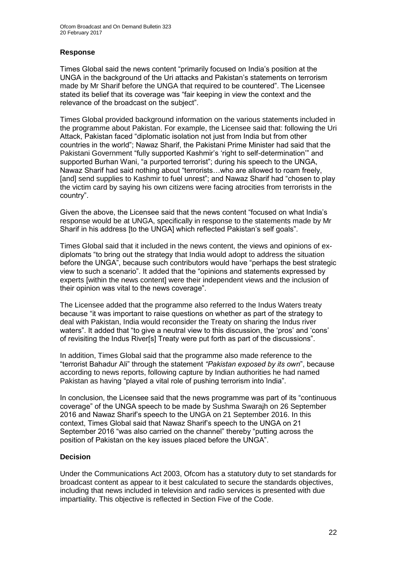#### **Response**

Times Global said the news content "primarily focused on India's position at the UNGA in the background of the Uri attacks and Pakistan's statements on terrorism made by Mr Sharif before the UNGA that required to be countered". The Licensee stated its belief that its coverage was "fair keeping in view the context and the relevance of the broadcast on the subject".

Times Global provided background information on the various statements included in the programme about Pakistan. For example, the Licensee said that: following the Uri Attack, Pakistan faced "diplomatic isolation not just from India but from other countries in the world"; Nawaz Sharif, the Pakistani Prime Minister had said that the Pakistani Government "fully supported Kashmir's 'right to self-determination'" and supported Burhan Wani, "a purported terrorist"; during his speech to the UNGA, Nawaz Sharif had said nothing about "terrorists…who are allowed to roam freely, [and] send supplies to Kashmir to fuel unrest"; and Nawaz Sharif had "chosen to play the victim card by saying his own citizens were facing atrocities from terrorists in the country".

Given the above, the Licensee said that the news content "focused on what India's response would be at UNGA, specifically in response to the statements made by Mr Sharif in his address [to the UNGA] which reflected Pakistan's self goals".

Times Global said that it included in the news content, the views and opinions of exdiplomats "to bring out the strategy that India would adopt to address the situation before the UNGA", because such contributors would have "perhaps the best strategic view to such a scenario". It added that the "opinions and statements expressed by experts [within the news content] were their independent views and the inclusion of their opinion was vital to the news coverage".

The Licensee added that the programme also referred to the Indus Waters treaty because "it was important to raise questions on whether as part of the strategy to deal with Pakistan, India would reconsider the Treaty on sharing the Indus river waters". It added that "to give a neutral view to this discussion, the 'pros' and 'cons' of revisiting the Indus River[s] Treaty were put forth as part of the discussions".

In addition, Times Global said that the programme also made reference to the "terrorist Bahadur Ali" through the statement *"Pakistan exposed by its own*", because according to news reports, following capture by Indian authorities he had named Pakistan as having "played a vital role of pushing terrorism into India".

In conclusion, the Licensee said that the news programme was part of its "continuous coverage" of the UNGA speech to be made by Sushma Swarajh on 26 September 2016 and Nawaz Sharif's speech to the UNGA on 21 September 2016. In this context, Times Global said that Nawaz Sharif's speech to the UNGA on 21 September 2016 "was also carried on the channel" thereby "putting across the position of Pakistan on the key issues placed before the UNGA".

#### **Decision**

Under the Communications Act 2003, Ofcom has a statutory duty to set standards for broadcast content as appear to it best calculated to secure the standards objectives, including that news included in television and radio services is presented with due impartiality. This objective is reflected in Section Five of the Code.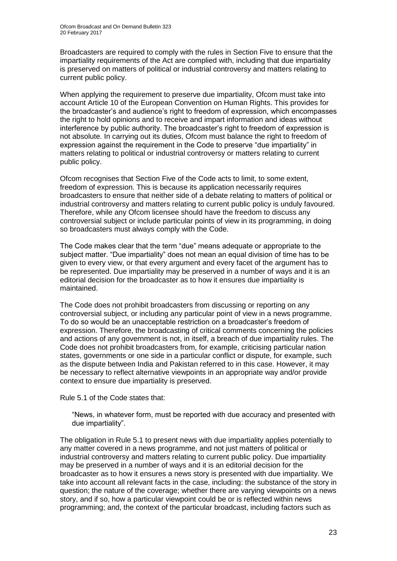Broadcasters are required to comply with the rules in Section Five to ensure that the impartiality requirements of the Act are complied with, including that due impartiality is preserved on matters of political or industrial controversy and matters relating to current public policy.

When applying the requirement to preserve due impartiality, Ofcom must take into account Article 10 of the European Convention on Human Rights. This provides for the broadcaster's and audience's right to freedom of expression, which encompasses the right to hold opinions and to receive and impart information and ideas without interference by public authority. The broadcaster's right to freedom of expression is not absolute. In carrying out its duties, Ofcom must balance the right to freedom of expression against the requirement in the Code to preserve "due impartiality" in matters relating to political or industrial controversy or matters relating to current public policy.

Ofcom recognises that Section Five of the Code acts to limit, to some extent, freedom of expression. This is because its application necessarily requires broadcasters to ensure that neither side of a debate relating to matters of political or industrial controversy and matters relating to current public policy is unduly favoured. Therefore, while any Ofcom licensee should have the freedom to discuss any controversial subject or include particular points of view in its programming, in doing so broadcasters must always comply with the Code.

The Code makes clear that the term "due" means adequate or appropriate to the subject matter. "Due impartiality" does not mean an equal division of time has to be given to every view, or that every argument and every facet of the argument has to be represented. Due impartiality may be preserved in a number of ways and it is an editorial decision for the broadcaster as to how it ensures due impartiality is maintained.

The Code does not prohibit broadcasters from discussing or reporting on any controversial subject, or including any particular point of view in a news programme. To do so would be an unacceptable restriction on a broadcaster's freedom of expression. Therefore, the broadcasting of critical comments concerning the policies and actions of any government is not, in itself, a breach of due impartiality rules. The Code does not prohibit broadcasters from, for example, criticising particular nation states, governments or one side in a particular conflict or dispute, for example, such as the dispute between India and Pakistan referred to in this case. However, it may be necessary to reflect alternative viewpoints in an appropriate way and/or provide context to ensure due impartiality is preserved.

Rule 5.1 of the Code states that:

"News, in whatever form, must be reported with due accuracy and presented with due impartiality".

The obligation in Rule 5.1 to present news with due impartiality applies potentially to any matter covered in a news programme, and not just matters of political or industrial controversy and matters relating to current public policy. Due impartiality may be preserved in a number of ways and it is an editorial decision for the broadcaster as to how it ensures a news story is presented with due impartiality. We take into account all relevant facts in the case, including: the substance of the story in question; the nature of the coverage; whether there are varying viewpoints on a news story, and if so, how a particular viewpoint could be or is reflected within news programming; and, the context of the particular broadcast, including factors such as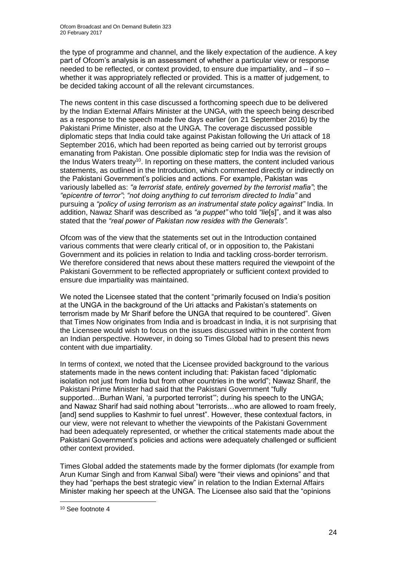the type of programme and channel, and the likely expectation of the audience. A key part of Ofcom's analysis is an assessment of whether a particular view or response needed to be reflected, or context provided, to ensure due impartiality, and – if so – whether it was appropriately reflected or provided. This is a matter of judgement, to be decided taking account of all the relevant circumstances.

The news content in this case discussed a forthcoming speech due to be delivered by the Indian External Affairs Minister at the UNGA, with the speech being described as a response to the speech made five days earlier (on 21 September 2016) by the Pakistani Prime Minister, also at the UNGA. The coverage discussed possible diplomatic steps that India could take against Pakistan following the Uri attack of 18 September 2016, which had been reported as being carried out by terrorist groups emanating from Pakistan. One possible diplomatic step for India was the revision of the Indus Waters treaty<sup>10</sup>. In reporting on these matters, the content included various statements, as outlined in the Introduction, which commented directly or indirectly on the Pakistani Government's policies and actions. For example, Pakistan was variously labelled as: *"a terrorist state, entirely governed by the terrorist mafia"*; the *"epicentre of terror"*; *"not doing anything to cut terrorism directed to India"* and pursuing a *"policy of using terrorism as an instrumental state policy against"* India. In addition, Nawaz Sharif was described as *"a puppet"* who told *"lie*[s]", and it was also stated that the *"real power of Pakistan now resides with the Generals".*

Ofcom was of the view that the statements set out in the Introduction contained various comments that were clearly critical of, or in opposition to, the Pakistani Government and its policies in relation to India and tackling cross-border terrorism. We therefore considered that news about these matters required the viewpoint of the Pakistani Government to be reflected appropriately or sufficient context provided to ensure due impartiality was maintained.

We noted the Licensee stated that the content "primarily focused on India's position at the UNGA in the background of the Uri attacks and Pakistan's statements on terrorism made by Mr Sharif before the UNGA that required to be countered". Given that Times Now originates from India and is broadcast in India, it is not surprising that the Licensee would wish to focus on the issues discussed within in the content from an Indian perspective. However, in doing so Times Global had to present this news content with due impartiality.

In terms of context, we noted that the Licensee provided background to the various statements made in the news content including that: Pakistan faced "diplomatic isolation not just from India but from other countries in the world"; Nawaz Sharif, the Pakistani Prime Minister had said that the Pakistani Government "fully supported…Burhan Wani, 'a purported terrorist'"; during his speech to the UNGA; and Nawaz Sharif had said nothing about "terrorists…who are allowed to roam freely, [and] send supplies to Kashmir to fuel unrest". However, these contextual factors, in our view, were not relevant to whether the viewpoints of the Pakistani Government had been adequately represented, or whether the critical statements made about the Pakistani Government's policies and actions were adequately challenged or sufficient other context provided.

Times Global added the statements made by the former diplomats (for example from Arun Kumar Singh and from Kanwal Sibal) were "their views and opinions" and that they had "perhaps the best strategic view" in relation to the Indian External Affairs Minister making her speech at the UNGA. The Licensee also said that the "opinions

<sup>10</sup> See footnote 4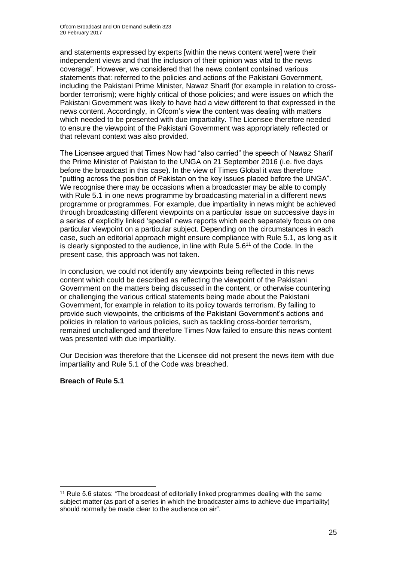and statements expressed by experts [within the news content were] were their independent views and that the inclusion of their opinion was vital to the news coverage". However, we considered that the news content contained various statements that: referred to the policies and actions of the Pakistani Government, including the Pakistani Prime Minister, Nawaz Sharif (for example in relation to crossborder terrorism); were highly critical of those policies; and were issues on which the Pakistani Government was likely to have had a view different to that expressed in the news content. Accordingly, in Ofcom's view the content was dealing with matters which needed to be presented with due impartiality. The Licensee therefore needed to ensure the viewpoint of the Pakistani Government was appropriately reflected or that relevant context was also provided.

The Licensee argued that Times Now had "also carried" the speech of Nawaz Sharif the Prime Minister of Pakistan to the UNGA on 21 September 2016 (i.e. five days before the broadcast in this case). In the view of Times Global it was therefore "putting across the position of Pakistan on the key issues placed before the UNGA". We recognise there may be occasions when a broadcaster may be able to comply with Rule 5.1 in one news programme by broadcasting material in a different news programme or programmes. For example, due impartiality in news might be achieved through broadcasting different viewpoints on a particular issue on successive days in a series of explicitly linked 'special' news reports which each separately focus on one particular viewpoint on a particular subject. Depending on the circumstances in each case, such an editorial approach might ensure compliance with Rule 5.1, as long as it is clearly signposted to the audience, in line with Rule  $5.6<sup>11</sup>$  of the Code. In the present case, this approach was not taken.

In conclusion, we could not identify any viewpoints being reflected in this news content which could be described as reflecting the viewpoint of the Pakistani Government on the matters being discussed in the content, or otherwise countering or challenging the various critical statements being made about the Pakistani Government, for example in relation to its policy towards terrorism. By failing to provide such viewpoints, the criticisms of the Pakistani Government's actions and policies in relation to various policies, such as tackling cross-border terrorism, remained unchallenged and therefore Times Now failed to ensure this news content was presented with due impartiality.

Our Decision was therefore that the Licensee did not present the news item with due impartiality and Rule 5.1 of the Code was breached.

#### **Breach of Rule 5.1**

<sup>1</sup> <sup>11</sup> Rule 5.6 states: "The broadcast of editorially linked programmes dealing with the same subject matter (as part of a series in which the broadcaster aims to achieve due impartiality) should normally be made clear to the audience on air".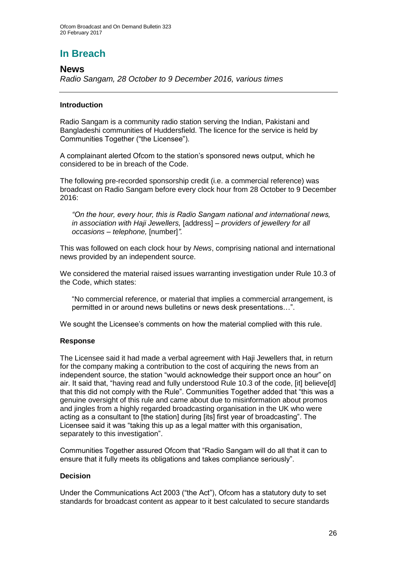### **In Breach**

### **News**

*Radio Sangam, 28 October to 9 December 2016, various times*

#### **Introduction**

Radio Sangam is a community radio station serving the Indian, Pakistani and Bangladeshi communities of Huddersfield. The licence for the service is held by Communities Together ("the Licensee").

A complainant alerted Ofcom to the station's sponsored news output, which he considered to be in breach of the Code.

The following pre-recorded sponsorship credit (i.e. a commercial reference) was broadcast on Radio Sangam before every clock hour from 28 October to 9 December 2016:

*"On the hour, every hour, this is Radio Sangam national and international news, in association with Haji Jewellers,* [address] *– providers of jewellery for all occasions – telephone,* [number]*".*

This was followed on each clock hour by *News*, comprising national and international news provided by an independent source.

We considered the material raised issues warranting investigation under Rule 10.3 of the Code, which states:

"No commercial reference, or material that implies a commercial arrangement, is permitted in or around news bulletins or news desk presentations…".

We sought the Licensee's comments on how the material complied with this rule.

#### **Response**

The Licensee said it had made a verbal agreement with Haji Jewellers that, in return for the company making a contribution to the cost of acquiring the news from an independent source, the station "would acknowledge their support once an hour" on air. It said that, "having read and fully understood Rule 10.3 of the code, [it] believe[d] that this did not comply with the Rule". Communities Together added that "this was a genuine oversight of this rule and came about due to misinformation about promos and jingles from a highly regarded broadcasting organisation in the UK who were acting as a consultant to [the station] during [its] first year of broadcasting". The Licensee said it was "taking this up as a legal matter with this organisation, separately to this investigation".

Communities Together assured Ofcom that "Radio Sangam will do all that it can to ensure that it fully meets its obligations and takes compliance seriously".

#### **Decision**

Under the Communications Act 2003 ("the Act"), Ofcom has a statutory duty to set standards for broadcast content as appear to it best calculated to secure standards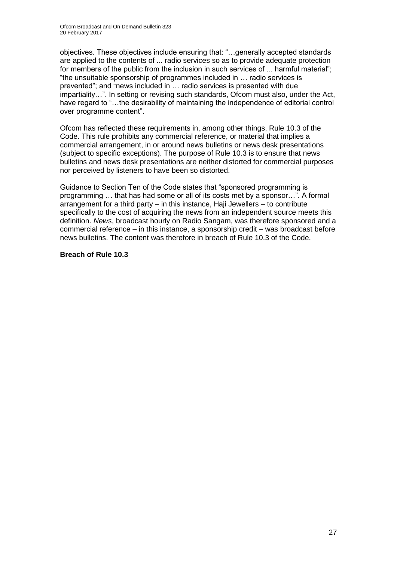objectives. These objectives include ensuring that: "…generally accepted standards are applied to the contents of ... radio services so as to provide adequate protection for members of the public from the inclusion in such services of ... harmful material"; "the unsuitable sponsorship of programmes included in … radio services is prevented"; and "news included in … radio services is presented with due impartiality…". In setting or revising such standards, Ofcom must also, under the Act, have regard to "…the desirability of maintaining the independence of editorial control over programme content".

Ofcom has reflected these requirements in, among other things, Rule 10.3 of the Code. This rule prohibits any commercial reference, or material that implies a commercial arrangement, in or around news bulletins or news desk presentations (subject to specific exceptions). The purpose of Rule 10.3 is to ensure that news bulletins and news desk presentations are neither distorted for commercial purposes nor perceived by listeners to have been so distorted.

Guidance to Section Ten of the Code states that "sponsored programming is programming … that has had some or all of its costs met by a sponsor…". A formal arrangement for a third party – in this instance, Haji Jewellers – to contribute specifically to the cost of acquiring the news from an independent source meets this definition. *News*, broadcast hourly on Radio Sangam, was therefore sponsored and a commercial reference – in this instance, a sponsorship credit – was broadcast before news bulletins. The content was therefore in breach of Rule 10.3 of the Code.

#### **Breach of Rule 10.3**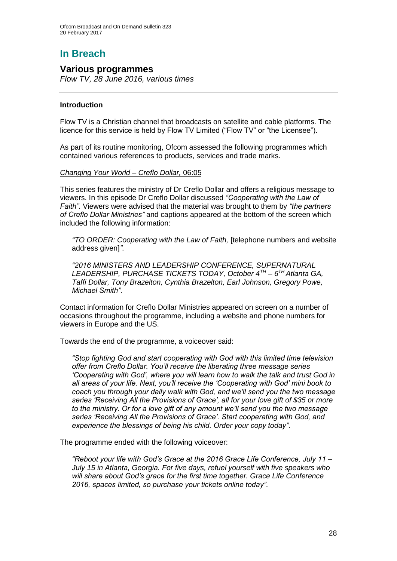# **In Breach**

#### **Various programmes**

*Flow TV, 28 June 2016, various times*

#### **Introduction**

Flow TV is a Christian channel that broadcasts on satellite and cable platforms. The licence for this service is held by Flow TV Limited ("Flow TV" or "the Licensee").

As part of its routine monitoring, Ofcom assessed the following programmes which contained various references to products, services and trade marks.

#### *Changing Your World – Creflo Dollar,* 06:05

This series features the ministry of Dr Creflo Dollar and offers a religious message to viewers. In this episode Dr Creflo Dollar discussed *"Cooperating with the Law of Faith"*. Viewers were advised that the material was brought to them by *"the partners of Creflo Dollar Ministries"* and captions appeared at the bottom of the screen which included the following information:

*"TO ORDER: Cooperating with the Law of Faith,* [telephone numbers and website address given]*"*.

*"2016 MINISTERS AND LEADERSHIP CONFERENCE, SUPERNATURAL LEADERSHIP, PURCHASE TICKETS TODAY, October 4TH – 6 TH Atlanta GA, Taffi Dollar, Tony Brazelton, Cynthia Brazelton, Earl Johnson, Gregory Powe, Michael Smith"*.

Contact information for Creflo Dollar Ministries appeared on screen on a number of occasions throughout the programme, including a website and phone numbers for viewers in Europe and the US.

Towards the end of the programme, a voiceover said:

*"Stop fighting God and start cooperating with God with this limited time television offer from Creflo Dollar. You'll receive the liberating three message series 'Cooperating with God', where you will learn how to walk the talk and trust God in all areas of your life. Next, you'll receive the 'Cooperating with God' mini book to coach you through your daily walk with God, and we'll send you the two message series 'Receiving All the Provisions of Grace', all for your love gift of \$35 or more to the ministry. Or for a love gift of any amount we'll send you the two message series 'Receiving All the Provisions of Grace'. Start cooperating with God, and experience the blessings of being his child. Order your copy today"*.

The programme ended with the following voiceover:

*"Reboot your life with God's Grace at the 2016 Grace Life Conference, July 11 – July 15 in Atlanta, Georgia. For five days, refuel yourself with five speakers who will share about God's grace for the first time together. Grace Life Conference 2016, spaces limited, so purchase your tickets online today"*.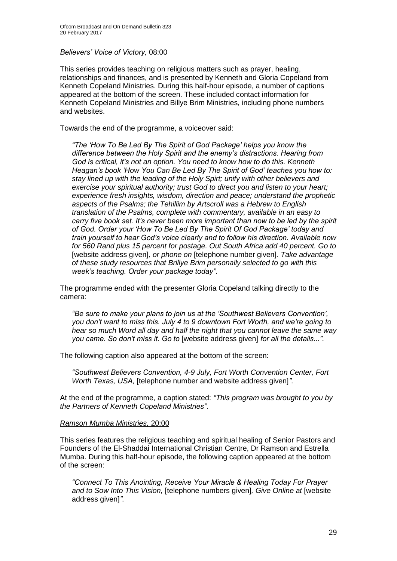#### *Believers' Voice of Victory,* 08:00

This series provides teaching on religious matters such as prayer, healing, relationships and finances, and is presented by Kenneth and Gloria Copeland from Kenneth Copeland Ministries. During this half-hour episode, a number of captions appeared at the bottom of the screen. These included contact information for Kenneth Copeland Ministries and Billye Brim Ministries, including phone numbers and websites.

Towards the end of the programme, a voiceover said:

*"The 'How To Be Led By The Spirit of God Package' helps you know the difference between the Holy Spirit and the enemy's distractions. Hearing from God is critical, it's not an option. You need to know how to do this. Kenneth Heagan's book 'How You Can Be Led By The Spirit of God' teaches you how to: stay lined up with the leading of the Holy Spirt; unify with other believers and exercise your spiritual authority; trust God to direct you and listen to your heart; experience fresh insights, wisdom, direction and peace; understand the prophetic aspects of the Psalms; the Tehillim by Artscroll was a Hebrew to English translation of the Psalms, complete with commentary, available in an easy to carry five book set. It's never been more important than now to be led by the spirit of God. Order your 'How To Be Led By The Spirit Of God Package' today and train yourself to hear God's voice clearly and to follow his direction. Available now for 560 Rand plus 15 percent for postage. Out South Africa add 40 percent. Go to*  [website address given]*, or phone on* [telephone number given]*. Take advantage of these study resources that Brillye Brim personally selected to go with this week's teaching. Order your package today"*.

The programme ended with the presenter Gloria Copeland talking directly to the camera:

*"Be sure to make your plans to join us at the 'Southwest Believers Convention', you don't want to miss this. July 4 to 9 downtown Fort Worth, and we're going to hear so much Word all day and half the night that you cannot leave the same way you came. So don't miss it. Go to* [website address given] *for all the details...".*

The following caption also appeared at the bottom of the screen:

*"Southwest Believers Convention, 4-9 July, Fort Worth Convention Center, Fort Worth Texas, USA,* [telephone number and website address given]*"*.

At the end of the programme, a caption stated: *"This program was brought to you by the Partners of Kenneth Copeland Ministries"*.

#### *Ramson Mumba Ministries,* 20:00

This series features the religious teaching and spiritual healing of Senior Pastors and Founders of the El-Shaddai International Christian Centre, Dr Ramson and Estrella Mumba. During this half-hour episode, the following caption appeared at the bottom of the screen:

*"Connect To This Anointing, Receive Your Miracle & Healing Today For Prayer and to Sow Into This Vision,* [telephone numbers given]*, Give Online at* [website address given]*"*.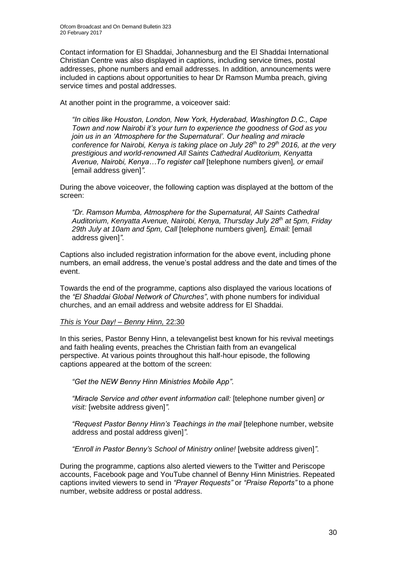Contact information for El Shaddai, Johannesburg and the El Shaddai International Christian Centre was also displayed in captions, including service times, postal addresses, phone numbers and email addresses. In addition, announcements were included in captions about opportunities to hear Dr Ramson Mumba preach, giving service times and postal addresses.

At another point in the programme, a voiceover said:

*"In cities like Houston, London, New York, Hyderabad, Washington D.C., Cape Town and now Nairobi it's your turn to experience the goodness of God as you join us in an 'Atmosphere for the Supernatural'. Our healing and miracle conference for Nairobi, Kenya is taking place on July 28th to 29th 2016, at the very prestigious and world-renowned All Saints Cathedral Auditorium, Kenyatta Avenue, Nairobi, Kenya…To register call* [telephone numbers given]*, or email*  [email address given]*".*

During the above voiceover, the following caption was displayed at the bottom of the screen:

*"Dr. Ramson Mumba, Atmosphere for the Supernatural, All Saints Cathedral Auditorium, Kenyatta Avenue, Nairobi, Kenya, Thursday July 28th at 5pm, Friday 29th July at 10am and 5pm, Call* [telephone numbers given]*, Email:* [\[email](mailto:[email%20address%20given])  [address given\]](mailto:[email%20address%20given])*"*.

Captions also included registration information for the above event, including phone numbers, an email address, the venue's postal address and the date and times of the event.

Towards the end of the programme, captions also displayed the various locations of the *"El Shaddai Global Network of Churches"*, with phone numbers for individual churches, and an email address and website address for El Shaddai.

#### *This is Your Day! – Benny Hinn,* 22:30

In this series, Pastor Benny Hinn, a televangelist best known for his revival meetings and faith healing events, preaches the Christian faith from an evangelical perspective. At various points throughout this half-hour episode, the following captions appeared at the bottom of the screen:

*"Get the NEW Benny Hinn Ministries Mobile App"*.

*"Miracle Service and other event information call:* [telephone number given] *or visit:* [website address given]*"*.

*"Request Pastor Benny Hinn's Teachings in the mail* [telephone number, website address and postal address given]*"*.

*"Enroll in Pastor Benny's School of Ministry online!* [website address given]*"*.

During the programme, captions also alerted viewers to the Twitter and Periscope accounts, Facebook page and YouTube channel of Benny Hinn Ministries. Repeated captions invited viewers to send in *"Prayer Requests"* or *"Praise Reports"* to a phone number, website address or postal address.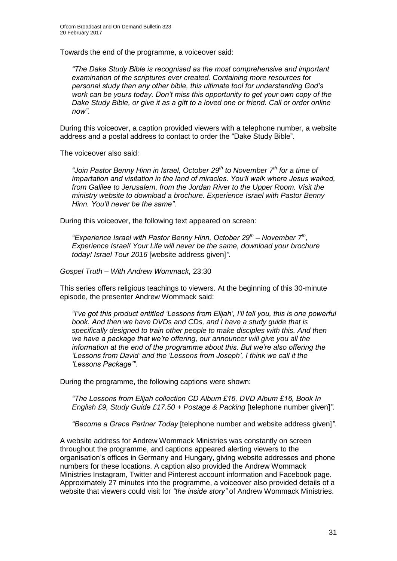Towards the end of the programme, a voiceover said:

*"The Dake Study Bible is recognised as the most comprehensive and important examination of the scriptures ever created. Containing more resources for personal study than any other bible, this ultimate tool for understanding God's work can be yours today. Don't miss this opportunity to get your own copy of the Dake Study Bible, or give it as a gift to a loved one or friend. Call or order online now"*.

During this voiceover, a caption provided viewers with a telephone number, a website address and a postal address to contact to order the "Dake Study Bible".

The voiceover also said:

*"Join Pastor Benny Hinn in Israel, October 29th to November 7th for a time of impartation and visitation in the land of miracles. You'll walk where Jesus walked, from Galilee to Jerusalem, from the Jordan River to the Upper Room. Visit the ministry website to download a brochure. Experience Israel with Pastor Benny Hinn. You'll never be the same"*.

During this voiceover, the following text appeared on screen:

*"Experience Israel with Pastor Benny Hinn, October 29th – November 7th , Experience Israel! Your Life will never be the same, download your brochure today! Israel Tour 2016* [website address given]*"*.

#### *Gospel Truth – With Andrew Wommack,* 23:30

This series offers religious teachings to viewers. At the beginning of this 30-minute episode, the presenter Andrew Wommack said:

*"I've got this product entitled 'Lessons from Elijah', I'll tell you, this is one powerful book. And then we have DVDs and CDs, and I have a study guide that is specifically designed to train other people to make disciples with this. And then we have a package that we're offering, our announcer will give you all the information at the end of the programme about this. But we're also offering the 'Lessons from David' and the 'Lessons from Joseph', I think we call it the 'Lessons Package'".*

During the programme, the following captions were shown:

*"The Lessons from Elijah collection CD Album £16, DVD Album £16, Book In English £9, Study Guide £17.50 + Postage & Packing* [telephone number given]*"*.

*"Become a Grace Partner Today* [telephone number and website address given]*".*

A website address for Andrew Wommack Ministries was constantly on screen throughout the programme, and captions appeared alerting viewers to the organisation's offices in Germany and Hungary, giving website addresses and phone numbers for these locations. A caption also provided the Andrew Wommack Ministries Instagram, Twitter and Pinterest account information and Facebook page. Approximately 27 minutes into the programme, a voiceover also provided details of a website that viewers could visit for *"the inside story"* of Andrew Wommack Ministries.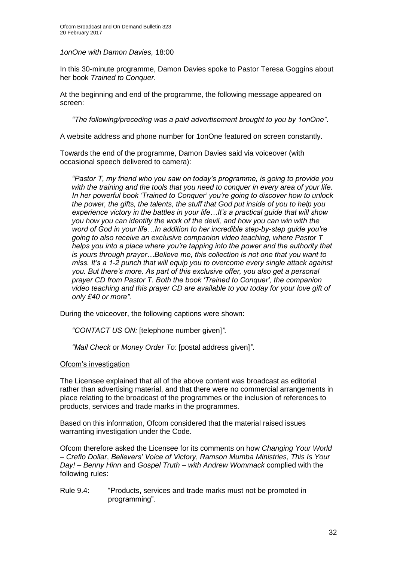#### *1onOne with Damon Davies,* 18:00

In this 30-minute programme, Damon Davies spoke to Pastor Teresa Goggins about her book *Trained to Conquer*.

At the beginning and end of the programme, the following message appeared on screen:

*"The following/preceding was a paid advertisement brought to you by 1onOne"*.

A website address and phone number for 1onOne featured on screen constantly.

Towards the end of the programme, Damon Davies said via voiceover (with occasional speech delivered to camera):

*"Pastor T, my friend who you saw on today's programme, is going to provide you with the training and the tools that you need to conquer in every area of your life. In her powerful book 'Trained to Conquer' you're going to discover how to unlock the power, the gifts, the talents, the stuff that God put inside of you to help you experience victory in the battles in your life…It's a practical guide that will show you how you can identify the work of the devil, and how you can win with the word of God in your life…In addition to her incredible step-by-step guide you're going to also receive an exclusive companion video teaching, where Pastor T helps you into a place where you're tapping into the power and the authority that is yours through prayer…Believe me, this collection is not one that you want to miss. It's a 1-2 punch that will equip you to overcome every single attack against you. But there's more. As part of this exclusive offer, you also get a personal prayer CD from Pastor T. Both the book 'Trained to Conquer', the companion video teaching and this prayer CD are available to you today for your love gift of only £40 or more".*

During the voiceover, the following captions were shown:

*"CONTACT US ON:* [telephone number given]*".*

*"Mail Check or Money Order To:* [postal address given]*"*.

#### Ofcom's investigation

The Licensee explained that all of the above content was broadcast as editorial rather than advertising material, and that there were no commercial arrangements in place relating to the broadcast of the programmes or the inclusion of references to products, services and trade marks in the programmes.

Based on this information, Ofcom considered that the material raised issues warranting investigation under the Code.

Ofcom therefore asked the Licensee for its comments on how *Changing Your World – Creflo Dollar*, *Believers' Voice of Victory*, *Ramson Mumba Ministries*, *This Is Your Day! – Benny Hinn* and *Gospel Truth – with Andrew Wommack* complied with the following rules:

Rule 9.4: "Products, services and trade marks must not be promoted in programming".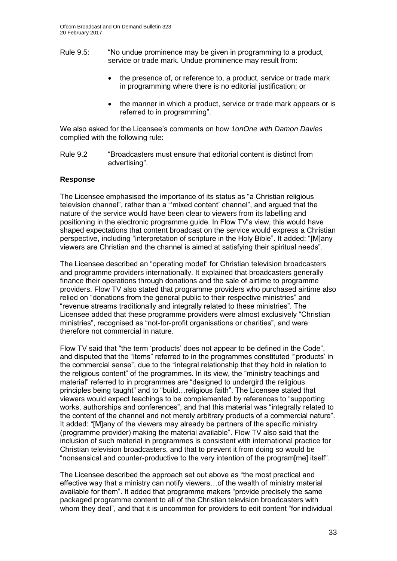- Rule 9.5: "No undue prominence may be given in programming to a product, service or trade mark. Undue prominence may result from:
	- the presence of, or reference to, a product, service or trade mark in programming where there is no editorial justification; or
	- the manner in which a product, service or trade mark appears or is referred to in programming".

We also asked for the Licensee's comments on how *1onOne with Damon Davies*  complied with the following rule:

Rule 9.2 "Broadcasters must ensure that editorial content is distinct from advertising".

#### **Response**

The Licensee emphasised the importance of its status as "a Christian religious television channel", rather than a "'mixed content' channel", and argued that the nature of the service would have been clear to viewers from its labelling and positioning in the electronic programme guide. In Flow TV's view, this would have shaped expectations that content broadcast on the service would express a Christian perspective, including "interpretation of scripture in the Holy Bible". It added: "[M]any viewers are Christian and the channel is aimed at satisfying their spiritual needs".

The Licensee described an "operating model" for Christian television broadcasters and programme providers internationally. It explained that broadcasters generally finance their operations through donations and the sale of airtime to programme providers. Flow TV also stated that programme providers who purchased airtime also relied on "donations from the general public to their respective ministries" and "revenue streams traditionally and integrally related to these ministries". The Licensee added that these programme providers were almost exclusively "Christian ministries", recognised as "not-for-profit organisations or charities", and were therefore not commercial in nature.

Flow TV said that "the term 'products' does not appear to be defined in the Code", and disputed that the "items" referred to in the programmes constituted "'products' in the commercial sense", due to the "integral relationship that they hold in relation to the religious content" of the programmes. In its view, the "ministry teachings and material" referred to in programmes are "designed to undergird the religious principles being taught" and to "build…religious faith". The Licensee stated that viewers would expect teachings to be complemented by references to "supporting works, authorships and conferences", and that this material was "integrally related to the content of the channel and not merely arbitrary products of a commercial nature". It added: "[M]any of the viewers may already be partners of the specific ministry (programme provider) making the material available". Flow TV also said that the inclusion of such material in programmes is consistent with international practice for Christian television broadcasters, and that to prevent it from doing so would be "nonsensical and counter-productive to the very intention of the program[me] itself".

The Licensee described the approach set out above as "the most practical and effective way that a ministry can notify viewers…of the wealth of ministry material available for them". It added that programme makers "provide precisely the same packaged programme content to all of the Christian television broadcasters with whom they deal", and that it is uncommon for providers to edit content "for individual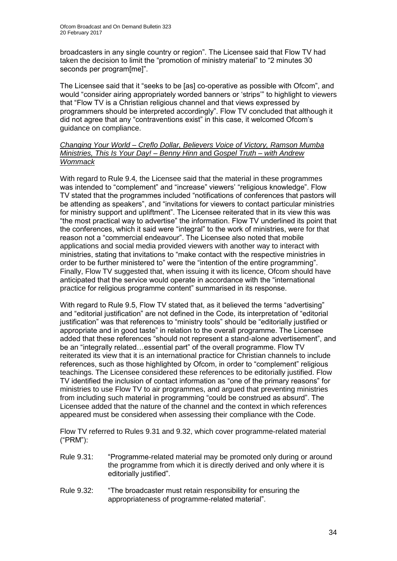broadcasters in any single country or region". The Licensee said that Flow TV had taken the decision to limit the "promotion of ministry material" to "2 minutes 30 seconds per program[me]".

The Licensee said that it "seeks to be [as] co-operative as possible with Ofcom", and would "consider airing appropriately worded banners or 'strips'" to highlight to viewers that "Flow TV is a Christian religious channel and that views expressed by programmers should be interpreted accordingly". Flow TV concluded that although it did not agree that any "contraventions exist" in this case, it welcomed Ofcom's guidance on compliance.

#### *Changing Your World – Creflo Dollar, Believers Voice of Victory, Ramson Mumba Ministries, This Is Your Day! – Benny Hinn* and *Gospel Truth – with Andrew Wommack*

With regard to Rule 9.4*,* the Licensee said that the material in these programmes was intended to "complement" and "increase" viewers' "religious knowledge". Flow TV stated that the programmes included "notifications of conferences that pastors will be attending as speakers", and "invitations for viewers to contact particular ministries for ministry support and upliftment". The Licensee reiterated that in its view this was "the most practical way to advertise" the information. Flow TV underlined its point that the conferences, which it said were "integral" to the work of ministries, were for that reason not a "commercial endeavour". The Licensee also noted that mobile applications and social media provided viewers with another way to interact with ministries, stating that invitations to "make contact with the respective ministries in order to be further ministered to" were the "intention of the entire programming". Finally, Flow TV suggested that, when issuing it with its licence, Ofcom should have anticipated that the service would operate in accordance with the "international practice for religious programme content" summarised in its response.

With regard to Rule 9.5, Flow TV stated that, as it believed the terms "advertising" and "editorial justification" are not defined in the Code, its interpretation of "editorial justification" was that references to "ministry tools" should be "editorially justified or appropriate and in good taste" in relation to the overall programme. The Licensee added that these references "should not represent a stand-alone advertisement", and be an "integrally related…essential part" of the overall programme. Flow TV reiterated its view that it is an international practice for Christian channels to include references, such as those highlighted by Ofcom, in order to "complement" religious teachings. The Licensee considered these references to be editorially justified. Flow TV identified the inclusion of contact information as "one of the primary reasons" for ministries to use Flow TV to air programmes, and argued that preventing ministries from including such material in programming "could be construed as absurd". The Licensee added that the nature of the channel and the context in which references appeared must be considered when assessing their compliance with the Code.

Flow TV referred to Rules 9.31 and 9.32, which cover programme-related material ("PRM"):

- Rule 9.31: "Programme-related material may be promoted only during or around the programme from which it is directly derived and only where it is editorially justified".
- Rule 9.32: "The broadcaster must retain responsibility for ensuring the appropriateness of programme-related material".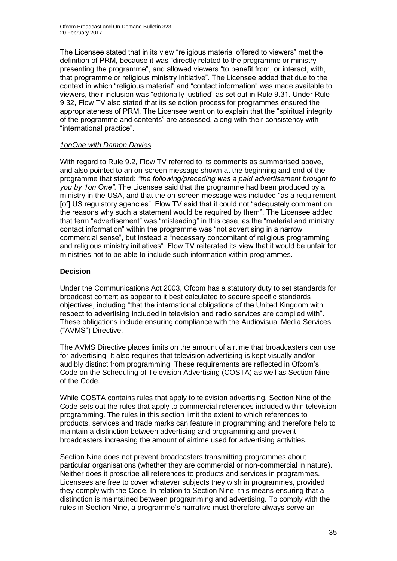The Licensee stated that in its view "religious material offered to viewers" met the definition of PRM, because it was "directly related to the programme or ministry presenting the programme", and allowed viewers "to benefit from, or interact, with, that programme or religious ministry initiative". The Licensee added that due to the context in which "religious material" and "contact information" was made available to viewers, their inclusion was "editorially justified" as set out in Rule 9.31. Under Rule 9.32, Flow TV also stated that its selection process for programmes ensured the appropriateness of PRM. The Licensee went on to explain that the "spiritual integrity of the programme and contents" are assessed, along with their consistency with "international practice".

#### *1onOne with Damon Davies*

With regard to Rule 9.2, Flow TV referred to its comments as summarised above, and also pointed to an on-screen message shown at the beginning and end of the programme that stated: *"the following/preceding was a paid advertisement brought to you by 1on One"*. The Licensee said that the programme had been produced by a ministry in the USA, and that the on-screen message was included "as a requirement [of] US regulatory agencies". Flow TV said that it could not "adequately comment on the reasons why such a statement would be required by them". The Licensee added that term "advertisement" was "misleading" in this case, as the "material and ministry contact information" within the programme was "not advertising in a narrow commercial sense", but instead a "necessary concomitant of religious programming and religious ministry initiatives". Flow TV reiterated its view that it would be unfair for ministries not to be able to include such information within programmes.

#### **Decision**

Under the Communications Act 2003, Ofcom has a statutory duty to set standards for broadcast content as appear to it best calculated to secure specific standards objectives, including "that the international obligations of the United Kingdom with respect to advertising included in television and radio services are complied with". These obligations include ensuring compliance with the Audiovisual Media Services ("AVMS") Directive.

The AVMS Directive places limits on the amount of airtime that broadcasters can use for advertising. It also requires that television advertising is kept visually and/or audibly distinct from programming. These requirements are reflected in Ofcom's Code on the Scheduling of Television Advertising (COSTA) as well as Section Nine of the Code.

While COSTA contains rules that apply to television advertising, Section Nine of the Code sets out the rules that apply to commercial references included within television programming. The rules in this section limit the extent to which references to products, services and trade marks can feature in programming and therefore help to maintain a distinction between advertising and programming and prevent broadcasters increasing the amount of airtime used for advertising activities.

Section Nine does not prevent broadcasters transmitting programmes about particular organisations (whether they are commercial or non-commercial in nature). Neither does it proscribe all references to products and services in programmes. Licensees are free to cover whatever subjects they wish in programmes, provided they comply with the Code. In relation to Section Nine, this means ensuring that a distinction is maintained between programming and advertising. To comply with the rules in Section Nine, a programme's narrative must therefore always serve an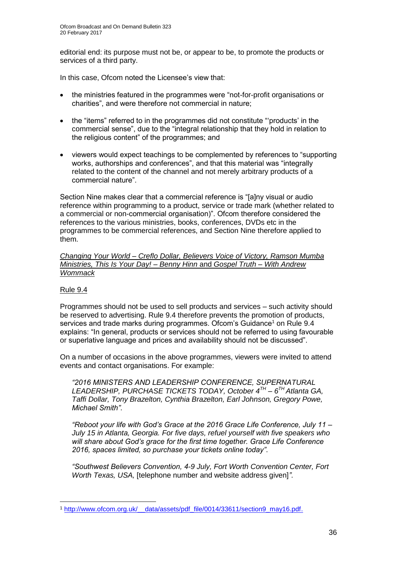editorial end: its purpose must not be, or appear to be, to promote the products or services of a third party.

In this case, Ofcom noted the Licensee's view that:

- the ministries featured in the programmes were "not-for-profit organisations or charities", and were therefore not commercial in nature;
- the "items" referred to in the programmes did not constitute "'products' in the commercial sense", due to the "integral relationship that they hold in relation to the religious content" of the programmes; and
- viewers would expect teachings to be complemented by references to "supporting works, authorships and conferences", and that this material was "integrally related to the content of the channel and not merely arbitrary products of a commercial nature".

Section Nine makes clear that a commercial reference is "[a]ny visual or audio reference within programming to a product, service or trade mark (whether related to a commercial or non-commercial organisation)". Ofcom therefore considered the references to the various ministries, books, conferences, DVDs etc in the programmes to be commercial references, and Section Nine therefore applied to them.

*Changing Your World – Creflo Dollar, Believers Voice of Victory, Ramson Mumba Ministries, This Is Your Day! – Benny Hinn* and *Gospel Truth – With Andrew Wommack*

#### Rule 9.4

Programmes should not be used to sell products and services – such activity should be reserved to advertising. Rule 9.4 therefore prevents the promotion of products, services and trade marks during programmes. Ofcom's Guidance<sup>1</sup> on Rule 9.4 explains: "In general, products or services should not be referred to using favourable or superlative language and prices and availability should not be discussed".

On a number of occasions in the above programmes, viewers were invited to attend events and contact organisations. For example:

*"2016 MINISTERS AND LEADERSHIP CONFERENCE, SUPERNATURAL LEADERSHIP, PURCHASE TICKETS TODAY, October 4TH – 6 TH Atlanta GA, Taffi Dollar, Tony Brazelton, Cynthia Brazelton, Earl Johnson, Gregory Powe, Michael Smith"*.

*"Reboot your life with God's Grace at the 2016 Grace Life Conference, July 11 – July 15 in Atlanta, Georgia. For five days, refuel yourself with five speakers who will share about God's grace for the first time together. Grace Life Conference 2016, spaces limited, so purchase your tickets online today"*.

*"Southwest Believers Convention, 4-9 July, Fort Worth Convention Center, Fort Worth Texas, USA,* [telephone number and website address given]*"*.

<sup>1</sup> <sup>1</sup> [http://www.ofcom.org.uk/\\_\\_data/assets/pdf\\_file/0014/33611/section9\\_may16.pdf.](http://www.ofcom.org.uk/__data/assets/pdf_file/0014/33611/section9_may16.pdf)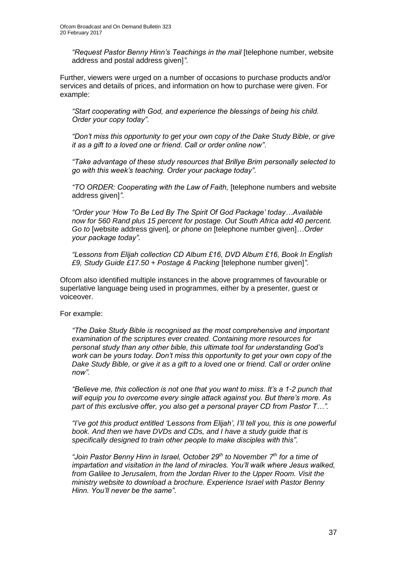*"Request Pastor Benny Hinn's Teachings in the mail* [telephone number, website address and postal address given]*"*.

Further, viewers were urged on a number of occasions to purchase products and/or services and details of prices, and information on how to purchase were given. For example:

*"Start cooperating with God, and experience the blessings of being his child. Order your copy today"*.

*"Don't miss this opportunity to get your own copy of the Dake Study Bible, or give it as a gift to a loved one or friend. Call or order online now"*.

*"Take advantage of these study resources that Brillye Brim personally selected to go with this week's teaching. Order your package today"*.

*"TO ORDER: Cooperating with the Law of Faith,* [telephone numbers and website address given]*"*.

*"Order your 'How To Be Led By The Spirit Of God Package' today…Available now for 560 Rand plus 15 percent for postage. Out South Africa add 40 percent. Go to* [website address given]*, or phone on* [telephone number given]*…Order your package today"*.

*"Lessons from Elijah collection CD Album £16, DVD Album £16, Book In English £9, Study Guide £17.50 + Postage & Packing* [telephone number given]*"*.

Ofcom also identified multiple instances in the above programmes of favourable or superlative language being used in programmes, either by a presenter, guest or voiceover.

For example:

*"The Dake Study Bible is recognised as the most comprehensive and important examination of the scriptures ever created. Containing more resources for personal study than any other bible, this ultimate tool for understanding God's work can be yours today. Don't miss this opportunity to get your own copy of the Dake Study Bible, or give it as a gift to a loved one or friend. Call or order online now"*.

*"Believe me, this collection is not one that you want to miss. It's a 1-2 punch that will equip you to overcome every single attack against you. But there's more. As part of this exclusive offer, you also get a personal prayer CD from Pastor T…".*

*"I've got this product entitled 'Lessons from Elijah', I'll tell you, this is one powerful book. And then we have DVDs and CDs, and I have a study guide that is specifically designed to train other people to make disciples with this"*.

*"Join Pastor Benny Hinn in Israel, October 29th to November 7th for a time of impartation and visitation in the land of miracles. You'll walk where Jesus walked, from Galilee to Jerusalem, from the Jordan River to the Upper Room. Visit the ministry website to download a brochure. Experience Israel with Pastor Benny Hinn. You'll never be the same"*.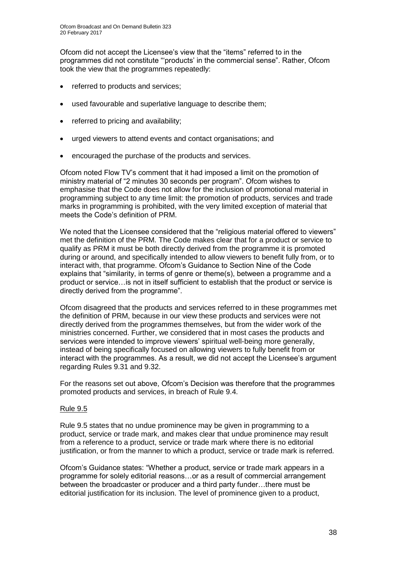Ofcom did not accept the Licensee's view that the "items" referred to in the programmes did not constitute "'products' in the commercial sense". Rather, Ofcom took the view that the programmes repeatedly:

- referred to products and services;
- used favourable and superlative language to describe them;
- referred to pricing and availability;
- urged viewers to attend events and contact organisations; and
- encouraged the purchase of the products and services.

Ofcom noted Flow TV's comment that it had imposed a limit on the promotion of ministry material of "2 minutes 30 seconds per program". Ofcom wishes to emphasise that the Code does not allow for the inclusion of promotional material in programming subject to any time limit: the promotion of products, services and trade marks in programming is prohibited, with the very limited exception of material that meets the Code's definition of PRM.

We noted that the Licensee considered that the "religious material offered to viewers" met the definition of the PRM. The Code makes clear that for a product or service to qualify as PRM it must be both directly derived from the programme it is promoted during or around, and specifically intended to allow viewers to benefit fully from, or to interact with, that programme. Ofcom's Guidance to Section Nine of the Code explains that "similarity, in terms of genre or theme(s), between a programme and a product or service…is not in itself sufficient to establish that the product or service is directly derived from the programme".

Ofcom disagreed that the products and services referred to in these programmes met the definition of PRM, because in our view these products and services were not directly derived from the programmes themselves, but from the wider work of the ministries concerned. Further, we considered that in most cases the products and services were intended to improve viewers' spiritual well-being more generally, instead of being specifically focused on allowing viewers to fully benefit from or interact with the programmes. As a result, we did not accept the Licensee's argument regarding Rules 9.31 and 9.32.

For the reasons set out above, Ofcom's Decision was therefore that the programmes promoted products and services, in breach of Rule 9.4.

#### Rule 9.5

Rule 9.5 states that no undue prominence may be given in programming to a product, service or trade mark, and makes clear that undue prominence may result from a reference to a product, service or trade mark where there is no editorial justification, or from the manner to which a product, service or trade mark is referred.

Ofcom's Guidance states: "Whether a product, service or trade mark appears in a programme for solely editorial reasons…or as a result of commercial arrangement between the broadcaster or producer and a third party funder…there must be editorial justification for its inclusion. The level of prominence given to a product,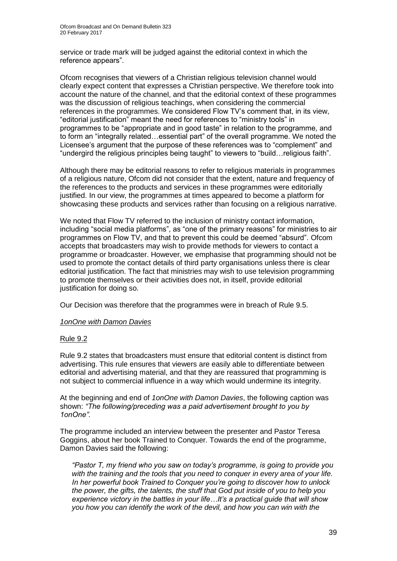service or trade mark will be judged against the editorial context in which the reference appears".

Ofcom recognises that viewers of a Christian religious television channel would clearly expect content that expresses a Christian perspective. We therefore took into account the nature of the channel, and that the editorial context of these programmes was the discussion of religious teachings, when considering the commercial references in the programmes. We considered Flow TV's comment that, in its view, "editorial justification" meant the need for references to "ministry tools" in programmes to be "appropriate and in good taste" in relation to the programme, and to form an "integrally related…essential part" of the overall programme. We noted the Licensee's argument that the purpose of these references was to "complement" and "undergird the religious principles being taught" to viewers to "build…religious faith".

Although there may be editorial reasons to refer to religious materials in programmes of a religious nature, Ofcom did not consider that the extent, nature and frequency of the references to the products and services in these programmes were editorially justified. In our view, the programmes at times appeared to become a platform for showcasing these products and services rather than focusing on a religious narrative.

We noted that Flow TV referred to the inclusion of ministry contact information, including "social media platforms", as "one of the primary reasons" for ministries to air programmes on Flow TV, and that to prevent this could be deemed "absurd". Ofcom accepts that broadcasters may wish to provide methods for viewers to contact a programme or broadcaster. However, we emphasise that programming should not be used to promote the contact details of third party organisations unless there is clear editorial justification. The fact that ministries may wish to use television programming to promote themselves or their activities does not, in itself, provide editorial justification for doing so.

Our Decision was therefore that the programmes were in breach of Rule 9.5.

#### *1onOne with Damon Davies*

#### Rule 9.2

Rule 9.2 states that broadcasters must ensure that editorial content is distinct from advertising. This rule ensures that viewers are easily able to differentiate between editorial and advertising material, and that they are reassured that programming is not subject to commercial influence in a way which would undermine its integrity.

At the beginning and end of *1onOne with Damon Davies*, the following caption was shown: *"The following/preceding was a paid advertisement brought to you by 1onOne"*.

The programme included an interview between the presenter and Pastor Teresa Goggins, about her book Trained to Conquer*.* Towards the end of the programme, Damon Davies said the following:

*"Pastor T, my friend who you saw on today's programme, is going to provide you with the training and the tools that you need to conquer in every area of your life. In her powerful book Trained to Conquer you're going to discover how to unlock the power, the gifts, the talents, the stuff that God put inside of you to help you experience victory in the battles in your life…It's a practical guide that will show you how you can identify the work of the devil, and how you can win with the*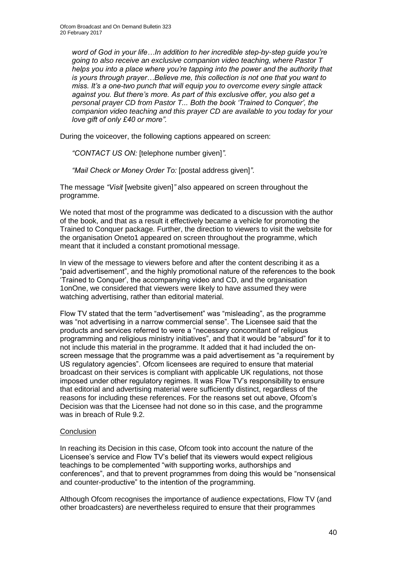*word of God in your life…In addition to her incredible step-by-step guide you're going to also receive an exclusive companion video teaching, where Pastor T helps you into a place where you're tapping into the power and the authority that is yours through prayer…Believe me, this collection is not one that you want to miss. It's a one-two punch that will equip you to overcome every single attack against you. But there's more. As part of this exclusive offer, you also get a personal prayer CD from Pastor T... Both the book 'Trained to Conquer', the companion video teaching and this prayer CD are available to you today for your love gift of only £40 or more".*

During the voiceover, the following captions appeared on screen:

*"CONTACT US ON:* [telephone number given]*".*

*"Mail Check or Money Order To:* [postal address given]*"*.

The message *"Visit* [website given]*"* also appeared on screen throughout the programme.

We noted that most of the programme was dedicated to a discussion with the author of the book, and that as a result it effectively became a vehicle for promoting the Trained to Conquer package. Further, the direction to viewers to visit the website for the organisation Oneto1 appeared on screen throughout the programme, which meant that it included a constant promotional message.

In view of the message to viewers before and after the content describing it as a "paid advertisement", and the highly promotional nature of the references to the book 'Trained to Conquer', the accompanying video and CD, and the organisation 1onOne, we considered that viewers were likely to have assumed they were watching advertising, rather than editorial material.

Flow TV stated that the term "advertisement" was "misleading", as the programme was "not advertising in a narrow commercial sense". The Licensee said that the products and services referred to were a "necessary concomitant of religious programming and religious ministry initiatives", and that it would be "absurd" for it to not include this material in the programme. It added that it had included the onscreen message that the programme was a paid advertisement as "a requirement by US regulatory agencies". Ofcom licensees are required to ensure that material broadcast on their services is compliant with applicable UK regulations, not those imposed under other regulatory regimes. It was Flow TV's responsibility to ensure that editorial and advertising material were sufficiently distinct, regardless of the reasons for including these references. For the reasons set out above, Ofcom's Decision was that the Licensee had not done so in this case, and the programme was in breach of Rule 9.2.

#### **Conclusion**

In reaching its Decision in this case, Ofcom took into account the nature of the Licensee's service and Flow TV's belief that its viewers would expect religious teachings to be complemented "with supporting works, authorships and conferences", and that to prevent programmes from doing this would be "nonsensical and counter-productive" to the intention of the programming.

Although Ofcom recognises the importance of audience expectations, Flow TV (and other broadcasters) are nevertheless required to ensure that their programmes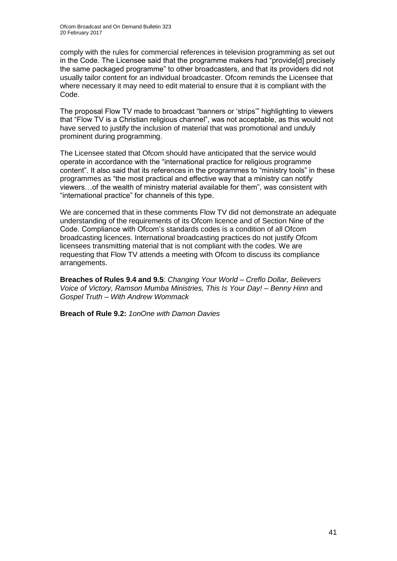comply with the rules for commercial references in television programming as set out in the Code. The Licensee said that the programme makers had "provide[d] precisely the same packaged programme" to other broadcasters, and that its providers did not usually tailor content for an individual broadcaster. Ofcom reminds the Licensee that where necessary it may need to edit material to ensure that it is compliant with the Code.

The proposal Flow TV made to broadcast "banners or 'strips'" highlighting to viewers that "Flow TV is a Christian religious channel", was not acceptable, as this would not have served to justify the inclusion of material that was promotional and unduly prominent during programming.

The Licensee stated that Ofcom should have anticipated that the service would operate in accordance with the "international practice for religious programme content". It also said that its references in the programmes to "ministry tools" in these programmes as "the most practical and effective way that a ministry can notify viewers…of the wealth of ministry material available for them", was consistent with "international practice" for channels of this type.

We are concerned that in these comments Flow TV did not demonstrate an adequate understanding of the requirements of its Ofcom licence and of Section Nine of the Code. Compliance with Ofcom's standards codes is a condition of all Ofcom broadcasting licences. International broadcasting practices do not justify Ofcom licensees transmitting material that is not compliant with the codes. We are requesting that Flow TV attends a meeting with Ofcom to discuss its compliance arrangements.

**Breaches of Rules 9.4 and 9.5**: *Changing Your World – Creflo Dollar, Believers Voice of Victory, Ramson Mumba Ministries, This Is Your Day! – Benny Hinn* and *Gospel Truth – With Andrew Wommack*

**Breach of Rule 9.2:** *1onOne with Damon Davies*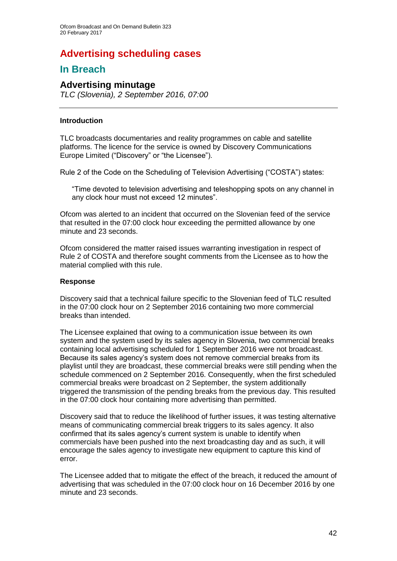### **Advertising scheduling cases**

### **In Breach**

### **Advertising minutage**

*TLC (Slovenia), 2 September 2016, 07:00*

#### **Introduction**

TLC broadcasts documentaries and reality programmes on cable and satellite platforms. The licence for the service is owned by Discovery Communications Europe Limited ("Discovery" or "the Licensee").

Rule 2 of the Code on the Scheduling of Television Advertising ("COSTA") states:

"Time devoted to television advertising and teleshopping spots on any channel in any clock hour must not exceed 12 minutes".

Ofcom was alerted to an incident that occurred on the Slovenian feed of the service that resulted in the 07:00 clock hour exceeding the permitted allowance by one minute and 23 seconds.

Ofcom considered the matter raised issues warranting investigation in respect of Rule 2 of COSTA and therefore sought comments from the Licensee as to how the material complied with this rule.

#### **Response**

Discovery said that a technical failure specific to the Slovenian feed of TLC resulted in the 07:00 clock hour on 2 September 2016 containing two more commercial breaks than intended.

The Licensee explained that owing to a communication issue between its own system and the system used by its sales agency in Slovenia, two commercial breaks containing local advertising scheduled for 1 September 2016 were not broadcast. Because its sales agency's system does not remove commercial breaks from its playlist until they are broadcast, these commercial breaks were still pending when the schedule commenced on 2 September 2016. Consequently, when the first scheduled commercial breaks were broadcast on 2 September, the system additionally triggered the transmission of the pending breaks from the previous day. This resulted in the 07:00 clock hour containing more advertising than permitted.

Discovery said that to reduce the likelihood of further issues, it was testing alternative means of communicating commercial break triggers to its sales agency. It also confirmed that its sales agency's current system is unable to identify when commercials have been pushed into the next broadcasting day and as such, it will encourage the sales agency to investigate new equipment to capture this kind of error.

The Licensee added that to mitigate the effect of the breach, it reduced the amount of advertising that was scheduled in the 07:00 clock hour on 16 December 2016 by one minute and 23 seconds.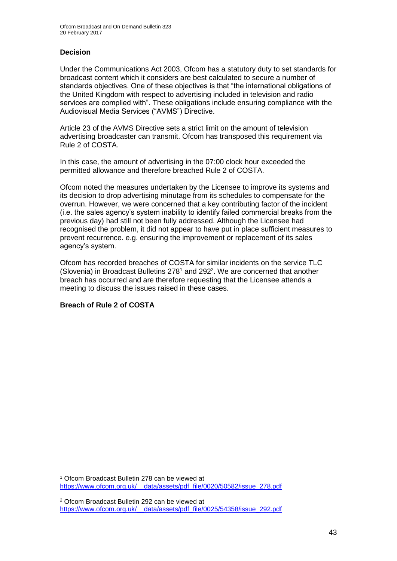#### **Decision**

Under the Communications Act 2003, Ofcom has a statutory duty to set standards for broadcast content which it considers are best calculated to secure a number of standards objectives. One of these objectives is that "the international obligations of the United Kingdom with respect to advertising included in television and radio services are complied with". These obligations include ensuring compliance with the Audiovisual Media Services ("AVMS") Directive.

Article 23 of the AVMS Directive sets a strict limit on the amount of television advertising broadcaster can transmit. Ofcom has transposed this requirement via Rule 2 of COSTA.

In this case, the amount of advertising in the 07:00 clock hour exceeded the permitted allowance and therefore breached Rule 2 of COSTA.

Ofcom noted the measures undertaken by the Licensee to improve its systems and its decision to drop advertising minutage from its schedules to compensate for the overrun. However, we were concerned that a key contributing factor of the incident (i.e. the sales agency's system inability to identify failed commercial breaks from the previous day) had still not been fully addressed. Although the Licensee had recognised the problem, it did not appear to have put in place sufficient measures to prevent recurrence. e.g. ensuring the improvement or replacement of its sales agency's system.

Ofcom has recorded breaches of COSTA for similar incidents on the service TLC (Slovenia) in Broadcast Bulletins  $278<sup>1</sup>$  and  $292<sup>2</sup>$ . We are concerned that another breach has occurred and are therefore requesting that the Licensee attends a meeting to discuss the issues raised in these cases.

#### **Breach of Rule 2 of COSTA**

<sup>1</sup> <sup>1</sup> Ofcom Broadcast Bulletin 278 can be viewed at [https://www.ofcom.org.uk/\\_\\_data/assets/pdf\\_file/0020/50582/issue\\_278.pdf](https://www.ofcom.org.uk/__data/assets/pdf_file/0020/50582/issue_278.pdf)

<sup>2</sup> Ofcom Broadcast Bulletin 292 can be viewed at [https://www.ofcom.org.uk/\\_\\_data/assets/pdf\\_file/0025/54358/issue\\_292.pdf](https://www.ofcom.org.uk/__data/assets/pdf_file/0025/54358/issue_292.pdf)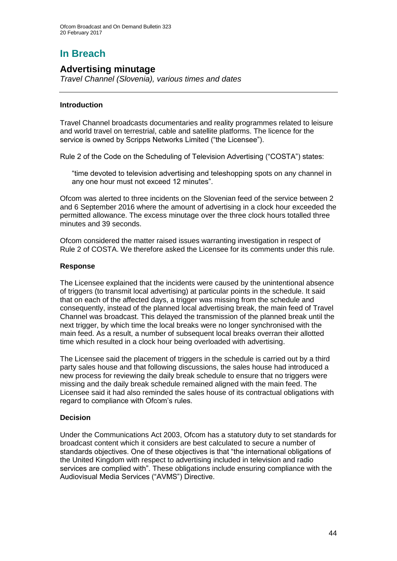# **In Breach**

### **Advertising minutage**

*Travel Channel (Slovenia), various times and dates*

#### **Introduction**

Travel Channel broadcasts documentaries and reality programmes related to leisure and world travel on terrestrial, cable and satellite platforms. The licence for the service is owned by Scripps Networks Limited ("the Licensee").

Rule 2 of the Code on the Scheduling of Television Advertising ("COSTA") states:

"time devoted to television advertising and teleshopping spots on any channel in any one hour must not exceed 12 minutes".

Ofcom was alerted to three incidents on the Slovenian feed of the service between 2 and 6 September 2016 where the amount of advertising in a clock hour exceeded the permitted allowance. The excess minutage over the three clock hours totalled three minutes and 39 seconds.

Ofcom considered the matter raised issues warranting investigation in respect of Rule 2 of COSTA. We therefore asked the Licensee for its comments under this rule.

#### **Response**

The Licensee explained that the incidents were caused by the unintentional absence of triggers (to transmit local advertising) at particular points in the schedule. It said that on each of the affected days, a trigger was missing from the schedule and consequently, instead of the planned local advertising break, the main feed of Travel Channel was broadcast. This delayed the transmission of the planned break until the next trigger, by which time the local breaks were no longer synchronised with the main feed. As a result, a number of subsequent local breaks overran their allotted time which resulted in a clock hour being overloaded with advertising.

The Licensee said the placement of triggers in the schedule is carried out by a third party sales house and that following discussions, the sales house had introduced a new process for reviewing the daily break schedule to ensure that no triggers were missing and the daily break schedule remained aligned with the main feed. The Licensee said it had also reminded the sales house of its contractual obligations with regard to compliance with Ofcom's rules.

#### **Decision**

Under the Communications Act 2003, Ofcom has a statutory duty to set standards for broadcast content which it considers are best calculated to secure a number of standards objectives. One of these objectives is that "the international obligations of the United Kingdom with respect to advertising included in television and radio services are complied with". These obligations include ensuring compliance with the Audiovisual Media Services ("AVMS") Directive.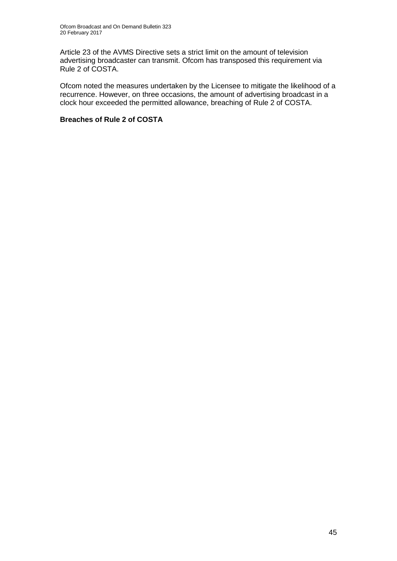Article 23 of the AVMS Directive sets a strict limit on the amount of television advertising broadcaster can transmit. Ofcom has transposed this requirement via Rule 2 of COSTA.

Ofcom noted the measures undertaken by the Licensee to mitigate the likelihood of a recurrence. However, on three occasions, the amount of advertising broadcast in a clock hour exceeded the permitted allowance, breaching of Rule 2 of COSTA.

#### **Breaches of Rule 2 of COSTA**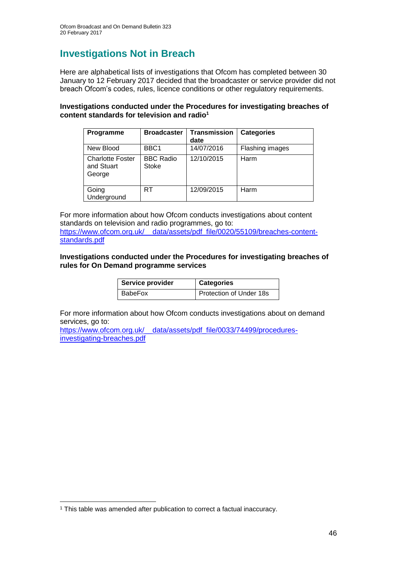## **Investigations Not in Breach**

Here are alphabetical lists of investigations that Ofcom has completed between 30 January to 12 February 2017 decided that the broadcaster or service provider did not breach Ofcom's codes, rules, licence conditions or other regulatory requirements.

#### **Investigations conducted under the Procedures for investigating breaches of content standards for television and radio<sup>1</sup>**

| Programme                                       | <b>Broadcaster</b>               | <b>Transmission</b><br>date | <b>Categories</b> |
|-------------------------------------------------|----------------------------------|-----------------------------|-------------------|
| New Blood                                       | BBC <sub>1</sub>                 | 14/07/2016                  | Flashing images   |
| <b>Charlotte Foster</b><br>and Stuart<br>George | <b>BBC Radio</b><br><b>Stoke</b> | 12/10/2015                  | Harm              |
| Going<br>Underground                            | RT                               | 12/09/2015                  | Harm              |

For more information about how Ofcom conducts investigations about content standards on television and radio programmes, go to: [https://www.ofcom.org.uk/\\_\\_data/assets/pdf\\_file/0020/55109/breaches-content](https://www.ofcom.org.uk/__data/assets/pdf_file/0020/55109/breaches-content-standards.pdf)[standards.pdf](https://www.ofcom.org.uk/__data/assets/pdf_file/0020/55109/breaches-content-standards.pdf)

#### **Investigations conducted under the Procedures for investigating breaches of rules for On Demand programme services**

| Service provider | <b>Categories</b>       |
|------------------|-------------------------|
| BabeFox          | Protection of Under 18s |

For more information about how Ofcom conducts investigations about on demand services, go to:

https://www.ofcom.org.uk/ data/assets/pdf\_file/0033/74499/procedures[investigating-breaches.pdf](https://www.ofcom.org.uk/__data/assets/pdf_file/0033/74499/procedures-investigating-breaches.pdf)

<sup>&</sup>lt;sup>1</sup> This table was amended after publication to correct a factual inaccuracy.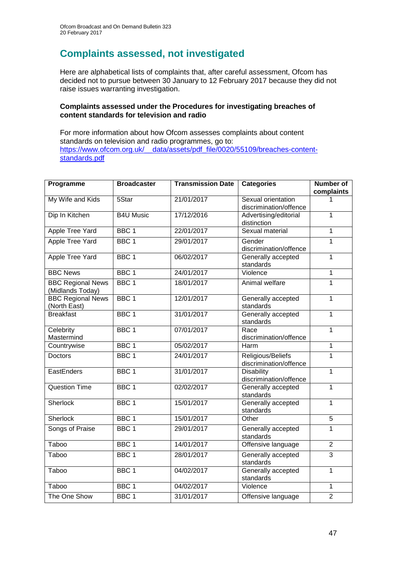# **Complaints assessed, not investigated**

Here are alphabetical lists of complaints that, after careful assessment, Ofcom has decided not to pursue between 30 January to 12 February 2017 because they did not raise issues warranting investigation.

#### **Complaints assessed under the Procedures for investigating breaches of content standards for television and radio**

For more information about how Ofcom assesses complaints about content standards on television and radio programmes, go to: [https://www.ofcom.org.uk/\\_\\_data/assets/pdf\\_file/0020/55109/breaches-content](https://www.ofcom.org.uk/__data/assets/pdf_file/0020/55109/breaches-content-standards.pdf)[standards.pdf](https://www.ofcom.org.uk/__data/assets/pdf_file/0020/55109/breaches-content-standards.pdf)

| Programme                | <b>Broadcaster</b> | <b>Transmission Date</b> | <b>Categories</b>                           | <b>Number of</b> |
|--------------------------|--------------------|--------------------------|---------------------------------------------|------------------|
|                          |                    | 21/01/2017               | Sexual orientation                          | complaints       |
| My Wife and Kids         | 5Star              |                          | discrimination/offence                      | 1                |
| Dip In Kitchen           | <b>B4U Music</b>   | 17/12/2016               | Advertising/editorial                       | $\overline{1}$   |
|                          |                    |                          | distinction                                 |                  |
| <b>Apple Tree Yard</b>   | BBC <sub>1</sub>   | 22/01/2017               | Sexual material                             | $\overline{1}$   |
| <b>Apple Tree Yard</b>   | BBC <sub>1</sub>   | 29/01/2017               | Gender                                      | $\mathbf{1}$     |
|                          |                    |                          | discrimination/offence                      |                  |
| <b>Apple Tree Yard</b>   | BBC <sub>1</sub>   | 06/02/2017               | Generally accepted<br>standards             | $\mathbf{1}$     |
| <b>BBC News</b>          | BBC <sub>1</sub>   | 24/01/2017               | Violence                                    | 1                |
| <b>BBC Regional News</b> | BBC <sub>1</sub>   | 18/01/2017               | Animal welfare                              | 1                |
| (Midlands Today)         |                    |                          |                                             |                  |
| <b>BBC Regional News</b> | BBC <sub>1</sub>   | 12/01/2017               | Generally accepted                          | $\mathbf{1}$     |
| (North East)             |                    |                          | standards                                   |                  |
| <b>Breakfast</b>         | BBC <sub>1</sub>   | 31/01/2017               | Generally accepted<br>standards             | $\mathbf{1}$     |
| Celebrity                | BBC <sub>1</sub>   | 07/01/2017               | Race                                        | $\overline{1}$   |
| Mastermind               |                    |                          | discrimination/offence                      |                  |
| Countrywise              | BBC <sub>1</sub>   | 05/02/2017               | Harm                                        | 1                |
| <b>Doctors</b>           | BBC <sub>1</sub>   | 24/01/2017               | Religious/Beliefs                           | $\mathbf{1}$     |
|                          |                    |                          | discrimination/offence                      |                  |
| EastEnders               | BBC <sub>1</sub>   | 31/01/2017               | <b>Disability</b><br>discrimination/offence | $\mathbf{1}$     |
| <b>Question Time</b>     | BBC <sub>1</sub>   | 02/02/2017               | Generally accepted                          | $\mathbf{1}$     |
|                          |                    |                          | standards                                   |                  |
| Sherlock                 | BBC <sub>1</sub>   | 15/01/2017               | Generally accepted                          | $\overline{1}$   |
|                          |                    |                          | standards                                   |                  |
| <b>Sherlock</b>          | BBC <sub>1</sub>   | 15/01/2017               | Other                                       | 5                |
| Songs of Praise          | BBC <sub>1</sub>   | 29/01/2017               | Generally accepted<br>standards             | 1                |
| Taboo                    | BBC <sub>1</sub>   | 14/01/2017               | Offensive language                          | $\overline{2}$   |
| Taboo                    | BBC <sub>1</sub>   | 28/01/2017               | Generally accepted                          | $\overline{3}$   |
|                          |                    |                          | standards                                   |                  |
| Taboo                    | BBC <sub>1</sub>   | 04/02/2017               | Generally accepted                          | $\mathbf{1}$     |
|                          |                    |                          | standards                                   |                  |
| Taboo                    | BBC <sub>1</sub>   | 04/02/2017               | Violence                                    | $\mathbf{1}$     |
| The One Show             | BBC <sub>1</sub>   | 31/01/2017               | Offensive language                          | $\overline{2}$   |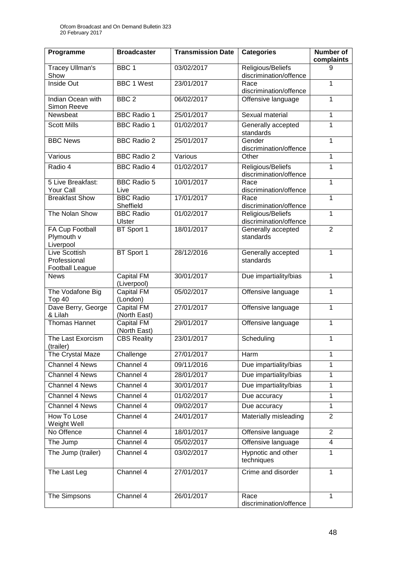| Programme                                         | <b>Broadcaster</b>                      | <b>Transmission Date</b> | <b>Categories</b>                                                     | Number of<br>complaints |
|---------------------------------------------------|-----------------------------------------|--------------------------|-----------------------------------------------------------------------|-------------------------|
| Tracey Ullman's<br>Show                           | BBC <sub>1</sub>                        | 03/02/2017               | Religious/Beliefs<br>discrimination/offence                           | 9                       |
| Inside Out                                        | <b>BBC 1 West</b>                       | 23/01/2017               | Race<br>discrimination/offence                                        | 1                       |
| Indian Ocean with<br>Simon Reeve                  | BBC <sub>2</sub>                        | 06/02/2017               | Offensive language                                                    | 1                       |
| Newsbeat                                          | <b>BBC Radio 1</b>                      | 25/01/2017               | Sexual material                                                       | 1                       |
| <b>Scott Mills</b>                                | <b>BBC Radio 1</b>                      | 01/02/2017               | Generally accepted<br>standards                                       | 1                       |
| <b>BBC</b> News                                   | <b>BBC Radio 2</b>                      | 25/01/2017               | Gender<br>discrimination/offence                                      | 1                       |
| Various                                           | <b>BBC Radio 2</b>                      | Various                  | Other                                                                 | 1                       |
| Radio 4                                           | <b>BBC Radio 4</b>                      | 01/02/2017               | Religious/Beliefs<br>discrimination/offence                           | 1                       |
| 5 Live Breakfast:<br>Your Call                    | <b>BBC Radio 5</b><br>Live              | 10/01/2017               | Race<br>discrimination/offence                                        | 1                       |
| <b>Breakfast Show</b>                             | <b>BBC Radio</b>                        | 17/01/2017               | Race                                                                  | 1                       |
| The Nolan Show                                    | Sheffield<br><b>BBC Radio</b><br>Ulster | 01/02/2017               | discrimination/offence<br>Religious/Beliefs<br>discrimination/offence | 1                       |
| <b>FA Cup Football</b><br>Plymouth v<br>Liverpool | BT Sport 1                              | 18/01/2017               | Generally accepted<br>standards                                       | $\overline{2}$          |
| Live Scottish<br>Professional<br>Football League  | BT Sport 1                              | 28/12/2016               | Generally accepted<br>standards                                       | 1                       |
| <b>News</b>                                       | <b>Capital FM</b><br>(Liverpool)        | 30/01/2017               | Due impartiality/bias                                                 | 1                       |
| The Vodafone Big<br>Top 40                        | <b>Capital FM</b><br>(London)           | 05/02/2017               | Offensive language                                                    | 1                       |
| Dave Berry, George<br>& Lilah                     | <b>Capital FM</b><br>(North East)       | 27/01/2017               | Offensive language                                                    | 1                       |
| Thomas Hannet                                     | Capital FM<br>(North East)              | 29/01/2017               | Offensive language                                                    | 1                       |
| The Last Exorcism<br>(trailer)                    | <b>CBS Reality</b>                      | 23/01/2017               | Scheduling                                                            | 1                       |
| The Crystal Maze                                  | Challenge                               | 27/01/2017               | Harm                                                                  | 1                       |
| <b>Channel 4 News</b>                             | Channel 4                               | 09/11/2016               | Due impartiality/bias                                                 | 1                       |
| <b>Channel 4 News</b>                             | Channel 4                               | 28/01/2017               | Due impartiality/bias                                                 | 1                       |
| Channel 4 News                                    | Channel 4                               | 30/01/2017               | Due impartiality/bias                                                 | 1                       |
| Channel 4 News                                    | Channel 4                               | 01/02/2017               | Due accuracy                                                          | 1                       |
| Channel 4 News                                    | Channel 4                               | 09/02/2017               | Due accuracy                                                          | 1                       |
| <b>How To Lose</b><br>Weight Well                 | Channel 4                               | 24/01/2017               | Materially misleading                                                 | $\overline{2}$          |
| No Offence                                        | Channel 4                               | 18/01/2017               | Offensive language                                                    | $\overline{2}$          |
| The Jump                                          | Channel 4                               | 05/02/2017               | Offensive language                                                    | 4                       |
| The Jump (trailer)                                | Channel 4                               | 03/02/2017               | Hypnotic and other<br>techniques                                      | 1                       |
| The Last Leg                                      | Channel 4                               | 27/01/2017               | Crime and disorder                                                    | 1                       |
| The Simpsons                                      | Channel 4                               | 26/01/2017               | Race<br>discrimination/offence                                        | 1                       |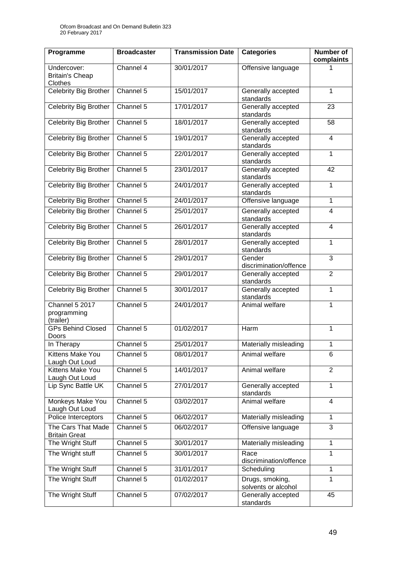| Programme                                         | <b>Broadcaster</b> | <b>Transmission Date</b> | <b>Categories</b>                      | <b>Number of</b><br>complaints |
|---------------------------------------------------|--------------------|--------------------------|----------------------------------------|--------------------------------|
| Undercover:<br><b>Britain's Cheap</b><br>Clothes  | Channel 4          | 30/01/2017               | Offensive language                     |                                |
| Celebrity Big Brother                             | Channel 5          | 15/01/2017               | Generally accepted<br>standards        | 1                              |
| Celebrity Big Brother                             | Channel 5          | 17/01/2017               | Generally accepted<br>standards        | 23                             |
| Celebrity Big Brother                             | Channel 5          | 18/01/2017               | Generally accepted<br>standards        | 58                             |
| <b>Celebrity Big Brother</b>                      | Channel 5          | 19/01/2017               | Generally accepted<br>standards        | $\overline{4}$                 |
| Celebrity Big Brother                             | Channel 5          | 22/01/2017               | Generally accepted<br>standards        | $\mathbf 1$                    |
| Celebrity Big Brother                             | Channel 5          | 23/01/2017               | Generally accepted<br>standards        | 42                             |
| <b>Celebrity Big Brother</b>                      | Channel 5          | 24/01/2017               | Generally accepted<br>standards        | 1                              |
| Celebrity Big Brother                             | Channel 5          | 24/01/2017               | Offensive language                     | 1                              |
| <b>Celebrity Big Brother</b>                      | Channel 5          | 25/01/2017               | Generally accepted<br>standards        | 4                              |
| Celebrity Big Brother                             | Channel 5          | 26/01/2017               | Generally accepted<br>standards        | 4                              |
| Celebrity Big Brother                             | Channel 5          | 28/01/2017               | Generally accepted<br>standards        | 1                              |
| Celebrity Big Brother                             | Channel 5          | 29/01/2017               | Gender<br>discrimination/offence       | 3                              |
| Celebrity Big Brother                             | Channel 5          | 29/01/2017               | Generally accepted<br>standards        | $\overline{2}$                 |
| <b>Celebrity Big Brother</b>                      | Channel 5          | 30/01/2017               | Generally accepted<br>standards        | 1                              |
| <b>Channel 5 2017</b><br>programming<br>(trailer) | Channel 5          | 24/01/2017               | Animal welfare                         | 1                              |
| <b>GPs Behind Closed</b><br>Doors                 | Channel 5          | 01/02/2017               | Harm                                   | 1                              |
| In Therapy                                        | Channel 5          | 25/01/2017               | Materially misleading                  | 1                              |
| <b>Kittens Make You</b><br>Laugh Out Loud         | Channel 5          | 08/01/2017               | Animal welfare                         | 6                              |
| Kittens Make You<br>Laugh Out Loud                | Channel 5          | 14/01/2017               | Animal welfare                         | $\overline{2}$                 |
| Lip Sync Battle UK                                | Channel 5          | 27/01/2017               | Generally accepted<br>standards        | 1                              |
| Monkeys Make You<br>Laugh Out Loud                | Channel 5          | 03/02/2017               | Animal welfare                         | 4                              |
| Police Interceptors                               | Channel 5          | 06/02/2017               | Materially misleading                  | 1                              |
| The Cars That Made<br><b>Britain Great</b>        | Channel 5          | 06/02/2017               | Offensive language                     | 3                              |
| The Wright Stuff                                  | Channel 5          | 30/01/2017               | Materially misleading                  | 1                              |
| The Wright stuff                                  | Channel 5          | 30/01/2017               | Race<br>discrimination/offence         | 1                              |
| The Wright Stuff                                  | Channel 5          | 31/01/2017               | Scheduling                             | 1                              |
| The Wright Stuff                                  | Channel 5          | 01/02/2017               | Drugs, smoking,<br>solvents or alcohol |                                |
| The Wright Stuff                                  | Channel 5          | 07/02/2017               | Generally accepted<br>standards        | 45                             |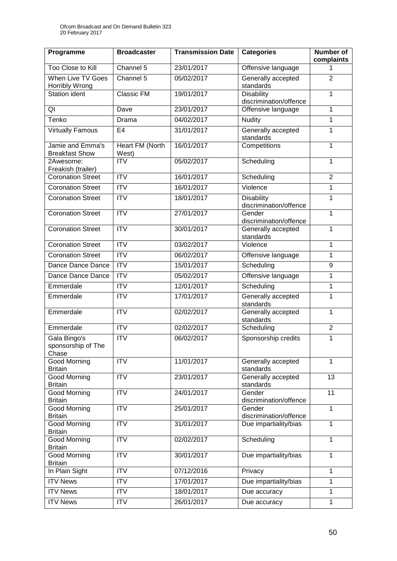| Programme                                   | <b>Broadcaster</b>              | <b>Transmission Date</b> | <b>Categories</b>                           | <b>Number of</b><br>complaints |
|---------------------------------------------|---------------------------------|--------------------------|---------------------------------------------|--------------------------------|
| Too Close to Kill                           | Channel 5                       | 23/01/2017               | Offensive language                          |                                |
| <b>When Live TV Goes</b><br>Horribly Wrong  | Channel 5                       | 05/02/2017               | Generally accepted<br>standards             | $\overline{2}$                 |
| <b>Station ident</b>                        | <b>Classic FM</b>               | 19/01/2017               | <b>Disability</b><br>discrimination/offence | 1                              |
| QI                                          | Dave                            | 23/01/2017               | Offensive language                          | $\mathbf 1$                    |
| Tenko                                       | Drama                           | 04/02/2017               | Nudity                                      | $\mathbf{1}$                   |
| <b>Virtually Famous</b>                     | E4                              | 31/01/2017               | Generally accepted<br>standards             | 1                              |
| Jamie and Emma's<br><b>Breakfast Show</b>   | <b>Heart FM (North</b><br>West) | 16/01/2017               | Competitions                                | $\mathbf{1}$                   |
| 2Awesome:<br>Freakish (trailer)             | <b>ITV</b>                      | 05/02/2017               | Scheduling                                  | 1                              |
| <b>Coronation Street</b>                    | $\overline{ITV}$                | 16/01/2017               | Scheduling                                  | $\overline{2}$                 |
| <b>Coronation Street</b>                    | <b>ITV</b>                      | 16/01/2017               | Violence                                    | $\mathbf{1}$                   |
| <b>Coronation Street</b>                    | $\overline{ITV}$                | 18/01/2017               | <b>Disability</b><br>discrimination/offence | 1                              |
| <b>Coronation Street</b>                    | $\overline{ITV}$                | 27/01/2017               | Gender<br>discrimination/offence            | 1                              |
| <b>Coronation Street</b>                    | <b>ITV</b>                      | 30/01/2017               | Generally accepted<br>standards             | 1                              |
| <b>Coronation Street</b>                    | $\overline{ITV}$                | 03/02/2017               | Violence                                    | $\mathbf{1}$                   |
| <b>Coronation Street</b>                    | <b>ITV</b>                      | 06/02/2017               | Offensive language                          | 1                              |
| Dance Dance Dance                           | $\overline{ITV}$                | 15/01/2017               | Scheduling                                  | 9                              |
| Dance Dance Dance                           | $\overline{IV}$                 | 05/02/2017               | Offensive language                          | $\mathbf{1}$                   |
| Emmerdale                                   | <b>ITV</b>                      | 12/01/2017               | Scheduling                                  | 1                              |
| Emmerdale                                   | <b>ITV</b>                      | 17/01/2017               | Generally accepted<br>standards             | 1                              |
| Emmerdale                                   | <b>ITV</b>                      | 02/02/2017               | Generally accepted<br>standards             | 1                              |
| Emmerdale                                   | <b>ITV</b>                      | 02/02/2017               | Scheduling                                  | $\overline{2}$                 |
| Gala Bingo's<br>sponsorship of The<br>Chase | <b>ITV</b>                      | 06/02/2017               | Sponsorship credits                         | 1                              |
| Good Morning<br><b>Britain</b>              | $\overline{\text{IV}}$          | 11/01/2017               | Generally accepted<br>standards             | 1                              |
| Good Morning<br><b>Britain</b>              | <b>ITV</b>                      | 23/01/2017               | Generally accepted<br>standards             | 13                             |
| Good Morning<br><b>Britain</b>              | $\overline{ITV}$                | 24/01/2017               | Gender<br>discrimination/offence            | $\overline{11}$                |
| Good Morning<br><b>Britain</b>              | $\overline{ITV}$                | 25/01/2017               | Gender<br>discrimination/offence            | 1                              |
| Good Morning<br><b>Britain</b>              | $\overline{IV}$                 | 31/01/2017               | Due impartiality/bias                       | $\mathbf{1}$                   |
| Good Morning<br><b>Britain</b>              | <b>ITV</b>                      | 02/02/2017               | Scheduling                                  | $\mathbf{1}$                   |
| Good Morning<br><b>Britain</b>              | <b>ITV</b>                      | 30/01/2017               | Due impartiality/bias                       | $\mathbf{1}$                   |
| In Plain Sight                              | <b>ITV</b>                      | 07/12/2016               | Privacy                                     | $\mathbf{1}$                   |
| <b>ITV News</b>                             | <b>ITV</b>                      | 17/01/2017               | Due impartiality/bias                       | $\mathbf{1}$                   |
| <b>ITV News</b>                             | <b>ITV</b>                      | 18/01/2017               | Due accuracy                                | $\mathbf{1}$                   |
| <b>ITV News</b>                             | <b>ITV</b>                      | 26/01/2017               | Due accuracy                                | 1                              |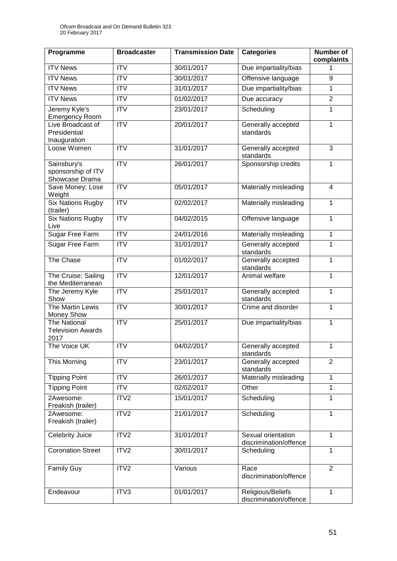| Programme                                               | <b>Broadcaster</b>     | <b>Transmission Date</b> | <b>Categories</b>                            | <b>Number of</b><br>complaints |
|---------------------------------------------------------|------------------------|--------------------------|----------------------------------------------|--------------------------------|
| <b>ITV News</b>                                         | $\overline{IV}$        | 30/01/2017               | Due impartiality/bias                        |                                |
| <b>ITV News</b>                                         | $\overline{IV}$        | 30/01/2017               | Offensive language                           | 9                              |
| <b>ITV News</b>                                         | $\overline{IV}$        | 31/01/2017               | Due impartiality/bias                        | 1                              |
| <b>ITV News</b>                                         | <b>ITV</b>             | 01/02/2017               | Due accuracy                                 | $\overline{2}$                 |
| Jeremy Kyle's<br><b>Emergency Room</b>                  | $\overline{\text{IV}}$ | 23/01/2017               | Scheduling                                   | 1                              |
| Live Broadcast of<br>Presidential<br>Inauguration       | <b>ITV</b>             | 20/01/2017               | Generally accepted<br>standards              | 1                              |
| Loose Women                                             | $\overline{ITV}$       | 31/01/2017               | Generally accepted<br>standards              | $\overline{3}$                 |
| Sainsbury's<br>sponsorship of ITV<br>Showcase Drama     | $\overline{IV}$        | 26/01/2017               | Sponsorship credits                          | 1                              |
| Save Money: Lose<br>Weight                              | <b>ITV</b>             | 05/01/2017               | Materially misleading                        | $\overline{4}$                 |
| <b>Six Nations Rugby</b><br>(trailer)                   | $\overline{IV}$        | 02/02/2017               | Materially misleading                        | 1                              |
| <b>Six Nations Rugby</b><br>Live                        | <b>ITV</b>             | 04/02/2015               | Offensive language                           | 1                              |
| <b>Sugar Free Farm</b>                                  | $\overline{IV}$        | 24/01/2016               | Materially misleading                        | 1                              |
| Sugar Free Farm                                         | <b>ITV</b>             | 31/01/2017               | Generally accepted<br>standards              | $\mathbf 1$                    |
| The Chase                                               | $\overline{ITV}$       | 01/02/2017               | Generally accepted<br>standards              | 1                              |
| The Cruise: Sailing<br>the Mediterranean                | $\overline{ITV}$       | 12/01/2017               | Animal welfare                               | 1                              |
| The Jeremy Kyle<br>Show                                 | <b>ITV</b>             | 25/01/2017               | Generally accepted<br>standards              | 1                              |
| The Martin Lewis<br>Money Show                          | <b>ITV</b>             | 30/01/2017               | Crime and disorder                           | 1                              |
| <b>The National</b><br><b>Television Awards</b><br>2017 | $\overline{IV}$        | 25/01/2017               | Due impartiality/bias                        | 1                              |
| The Voice UK                                            | <b>ITV</b>             | 04/02/2017               | Generally accepted<br>standards              | 1                              |
| This Morning                                            | ITV                    | 23/01/2017               | Generally accepted<br>standards              | $\overline{2}$                 |
| <b>Tipping Point</b>                                    | <b>ITV</b>             | 26/01/2017               | Materially misleading                        | 1                              |
| <b>Tipping Point</b>                                    | <b>ITV</b>             | 02/02/2017               | Other                                        | 1                              |
| 2Awesome:<br>Freakish (trailer)                         | ITV <sub>2</sub>       | 15/01/2017               | Scheduling                                   | 1                              |
| 2Awesome:<br>Freakish (trailer)                         | ITV <sub>2</sub>       | 21/01/2017               | Scheduling                                   | $\mathbf 1$                    |
| Celebrity Juice                                         | ITV2                   | 31/01/2017               | Sexual orientation<br>discrimination/offence | 1                              |
| <b>Coronation Street</b>                                | ITV <sub>2</sub>       | 30/01/2017               | Scheduling                                   | 1                              |
| <b>Family Guy</b>                                       | ITV2                   | Various                  | Race<br>discrimination/offence               | $\overline{2}$                 |
| Endeavour                                               | ITV3                   | 01/01/2017               | Religious/Beliefs<br>discrimination/offence  | 1                              |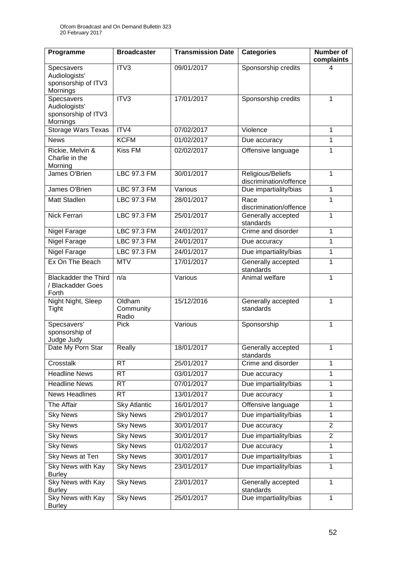| Programme                                                      | <b>Broadcaster</b>           | <b>Transmission Date</b> | <b>Categories</b>                           | <b>Number of</b><br>complaints |
|----------------------------------------------------------------|------------------------------|--------------------------|---------------------------------------------|--------------------------------|
| Specsavers<br>Audiologists'<br>sponsorship of ITV3<br>Mornings | ITV3                         | 09/01/2017               | Sponsorship credits                         | 4                              |
| Specsavers<br>Audiologists'<br>sponsorship of ITV3<br>Mornings | ITV3                         | 17/01/2017               | Sponsorship credits                         | 1                              |
| <b>Storage Wars Texas</b>                                      | ITV4                         | 07/02/2017               | Violence                                    | 1                              |
| <b>News</b>                                                    | <b>KCFM</b>                  | 01/02/2017               | Due accuracy                                | 1                              |
| Rickie, Melvin &<br>Charlie in the<br>Morning                  | <b>Kiss FM</b>               | 02/02/2017               | Offensive language                          | 1                              |
| James O'Brien                                                  | <b>LBC 97.3 FM</b>           | 30/01/2017               | Religious/Beliefs<br>discrimination/offence | 1                              |
| James O'Brien                                                  | <b>LBC 97.3 FM</b>           | Various                  | Due impartiality/bias                       | 1                              |
| Matt Stadlen                                                   | LBC 97.3 FM                  | 28/01/2017               | Race<br>discrimination/offence              | 1                              |
| Nick Ferrari                                                   | LBC 97.3 FM                  | 25/01/2017               | Generally accepted<br>standards             | $\mathbf{1}$                   |
| Nigel Farage                                                   | LBC 97.3 FM                  | 24/01/2017               | Crime and disorder                          | $\mathbf{1}$                   |
| <b>Nigel Farage</b>                                            | <b>LBC 97.3 FM</b>           | 24/01/2017               | Due accuracy                                | 1                              |
| Nigel Farage                                                   | LBC 97.3 FM                  | 24/01/2017               | Due impartiality/bias                       | 1                              |
| Ex On The Beach                                                | <b>MTV</b>                   | 17/01/2017               | Generally accepted<br>standards             | 1                              |
| <b>Blackadder the Third</b><br>/ Blackadder Goes<br>Forth      | n/a                          | Various                  | Animal welfare                              | 1                              |
| Night Night, Sleep<br>Tight                                    | Oldham<br>Community<br>Radio | 15/12/2016               | Generally accepted<br>standards             | $\mathbf{1}$                   |
| Specsavers'<br>sponsorship of<br>Judge Judy                    | <b>Pick</b>                  | Various                  | Sponsorship                                 | $\mathbf{1}$                   |
| Date My Porn Star                                              | Really                       | 18/01/2017               | Generally accepted<br>standards             | 1                              |
| Crosstalk                                                      | <b>RT</b>                    | 25/01/2017               | Crime and disorder                          | $\mathbf{1}$                   |
| <b>Headline News</b>                                           | <b>RT</b>                    | 03/01/2017               | Due accuracy                                | 1                              |
| <b>Headline News</b>                                           | <b>RT</b>                    | 07/01/2017               | Due impartiality/bias                       | 1                              |
| News Headlines                                                 | <b>RT</b>                    | 13/01/2017               | Due accuracy                                | $\mathbf{1}$                   |
| The Affair                                                     | <b>Sky Atlantic</b>          | 16/01/2017               | Offensive language                          | 1                              |
| <b>Sky News</b>                                                | <b>Sky News</b>              | 29/01/2017               | Due impartiality/bias                       | 1                              |
| <b>Sky News</b>                                                | <b>Sky News</b>              | 30/01/2017               | Due accuracy                                | $\overline{2}$                 |
| <b>Sky News</b>                                                | <b>Sky News</b>              | 30/01/2017               | Due impartiality/bias                       | $\overline{2}$                 |
| <b>Sky News</b>                                                | <b>Sky News</b>              | 01/02/2017               | Due accuracy                                | 1                              |
| <b>Sky News at Ten</b>                                         | <b>Sky News</b>              | 30/01/2017               | Due impartiality/bias                       | $\mathbf{1}$                   |
| Sky News with Kay<br><b>Burley</b>                             | <b>Sky News</b>              | 23/01/2017               | Due impartiality/bias                       | $\mathbf{1}$                   |
| <b>Sky News with Kay</b><br><b>Burley</b>                      | <b>Sky News</b>              | 23/01/2017               | Generally accepted<br>standards             | $\mathbf{1}$                   |
| <b>Sky News with Kay</b><br><b>Burley</b>                      | <b>Sky News</b>              | 25/01/2017               | Due impartiality/bias                       | 1                              |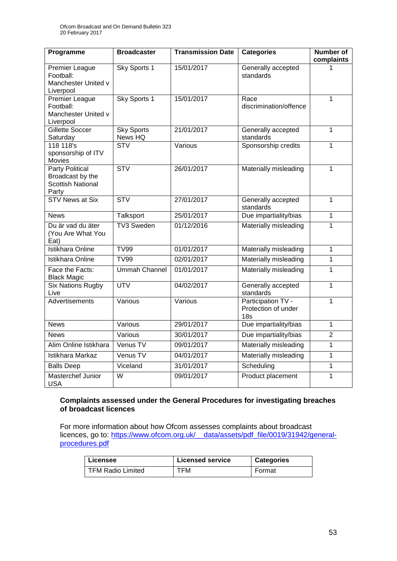| Programme                                                                       | <b>Broadcaster</b>           | <b>Transmission Date</b> | <b>Categories</b>                                            | Number of<br>complaints |
|---------------------------------------------------------------------------------|------------------------------|--------------------------|--------------------------------------------------------------|-------------------------|
| <b>Premier League</b><br>Football:<br>Manchester United v<br>Liverpool          | Sky Sports 1                 | 15/01/2017               | Generally accepted<br>standards                              |                         |
| <b>Premier League</b><br>Football:<br>Manchester United v<br>Liverpool          | Sky Sports 1                 | 15/01/2017               | Race<br>discrimination/offence                               | $\mathbf{1}$            |
| <b>Gillette Soccer</b><br>Saturday                                              | <b>Sky Sports</b><br>News HQ | 21/01/2017               | Generally accepted<br>standards                              | $\overline{1}$          |
| 118 118's<br>sponsorship of ITV<br>Movies                                       | <b>STV</b>                   | Various                  | Sponsorship credits                                          | $\overline{1}$          |
| <b>Party Political</b><br>Broadcast by the<br><b>Scottish National</b><br>Party | STV                          | 26/01/2017               | Materially misleading                                        | $\mathbf{1}$            |
| <b>STV News at Six</b>                                                          | STV                          | 27/01/2017               | Generally accepted<br>standards                              | $\mathbf{1}$            |
| <b>News</b>                                                                     | Talksport                    | 25/01/2017               | Due impartiality/bias                                        | $\mathbf{1}$            |
| Du är vad du äter<br>(You Are What You<br>Eat)                                  | <b>TV3 Sweden</b>            | 01/12/2016               | Materially misleading                                        | $\mathbf{1}$            |
| <b>Istikhara Online</b>                                                         | <b>TV99</b>                  | 01/01/2017               | Materially misleading                                        | $\mathbf{1}$            |
| Istikhara Online                                                                | <b>TV99</b>                  | 02/01/2017               | Materially misleading                                        | $\mathbf{1}$            |
| Face the Facts:<br><b>Black Magic</b>                                           | <b>Ummah Channel</b>         | 01/01/2017               | Materially misleading                                        | 1                       |
| <b>Six Nations Rugby</b><br>Live                                                | <b>UTV</b>                   | 04/02/2017               | Generally accepted<br>standards                              | $\mathbf{1}$            |
| Advertisements                                                                  | Various                      | Various                  | Participation TV -<br>Protection of under<br>18 <sub>s</sub> | $\mathbf{1}$            |
| <b>News</b>                                                                     | Various                      | 29/01/2017               | Due impartiality/bias                                        | $\mathbf{1}$            |
| <b>News</b>                                                                     | Various                      | 30/01/2017               | Due impartiality/bias                                        | $\overline{2}$          |
| Alim Online Istikhara                                                           | Venus TV                     | 09/01/2017               | Materially misleading                                        | $\overline{1}$          |
| Istikhara Markaz                                                                | Venus TV                     | 04/01/2017               | Materially misleading                                        | $\mathbf{1}$            |
| <b>Balls Deep</b>                                                               | Viceland                     | 31/01/2017               | Scheduling                                                   | $\mathbf 1$             |
| Masterchef Junior<br><b>USA</b>                                                 | W                            | 09/01/2017               | Product placement                                            | 1                       |

#### **Complaints assessed under the General Procedures for investigating breaches of broadcast licences**

For more information about how Ofcom assesses complaints about broadcast licences, go to: [https://www.ofcom.org.uk/\\_\\_data/assets/pdf\\_file/0019/31942/general](https://www.ofcom.org.uk/__data/assets/pdf_file/0019/31942/general-procedures.pdf)[procedures.pdf](https://www.ofcom.org.uk/__data/assets/pdf_file/0019/31942/general-procedures.pdf)

| Licensee                 | <b>Licensed service</b> | <b>Categories</b> |
|--------------------------|-------------------------|-------------------|
| <b>TFM Radio Limited</b> | TFM                     | Format            |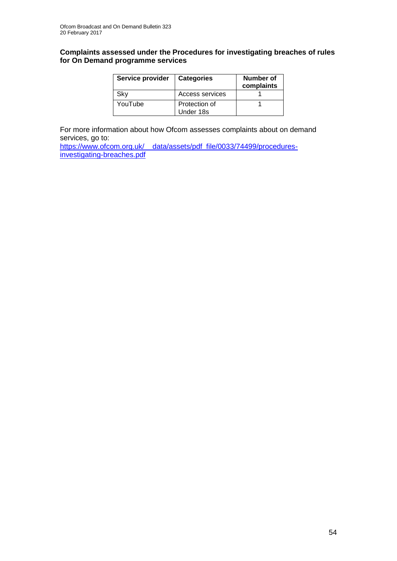#### **Complaints assessed under the Procedures for investigating breaches of rules for On Demand programme services**

| Service provider | <b>Categories</b>          | Number of<br>complaints |
|------------------|----------------------------|-------------------------|
| Sky              | Access services            |                         |
| YouTube          | Protection of<br>Under 18s |                         |

For more information about how Ofcom assesses complaints about on demand services, go to:

https://www.ofcom.org.uk/ data/assets/pdf\_file/0033/74499/procedures[investigating-breaches.pdf](https://www.ofcom.org.uk/__data/assets/pdf_file/0033/74499/procedures-investigating-breaches.pdf)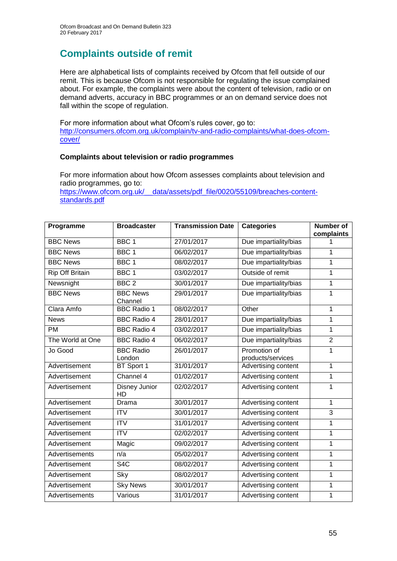# **Complaints outside of remit**

Here are alphabetical lists of complaints received by Ofcom that fell outside of our remit. This is because Ofcom is not responsible for regulating the issue complained about. For example, the complaints were about the content of television, radio or on demand adverts, accuracy in BBC programmes or an on demand service does not fall within the scope of regulation.

For more information about what Ofcom's rules cover, go to: [http://consumers.ofcom.org.uk/complain/tv-and-radio-complaints/what-does-ofcom](http://consumers.ofcom.org.uk/complain/tv-and-radio-complaints/what-does-ofcom-cover/)[cover/](http://consumers.ofcom.org.uk/complain/tv-and-radio-complaints/what-does-ofcom-cover/)

#### **Complaints about television or radio programmes**

For more information about how Ofcom assesses complaints about television and radio programmes, go to:

[https://www.ofcom.org.uk/\\_\\_data/assets/pdf\\_file/0020/55109/breaches-content](https://www.ofcom.org.uk/__data/assets/pdf_file/0020/55109/breaches-content-standards.pdf)[standards.pdf](https://www.ofcom.org.uk/__data/assets/pdf_file/0020/55109/breaches-content-standards.pdf)

| Programme              | <b>Broadcaster</b>         | <b>Transmission Date</b> | <b>Categories</b>                 | <b>Number of</b> |
|------------------------|----------------------------|--------------------------|-----------------------------------|------------------|
|                        |                            |                          |                                   | complaints       |
| <b>BBC News</b>        | BBC <sub>1</sub>           | 27/01/2017               | Due impartiality/bias             |                  |
| <b>BBC News</b>        | BBC <sub>1</sub>           | 06/02/2017               | Due impartiality/bias             | 1                |
| <b>BBC News</b>        | BBC <sub>1</sub>           | 08/02/2017               | Due impartiality/bias             | 1                |
| <b>Rip Off Britain</b> | BBC <sub>1</sub>           | 03/02/2017               | Outside of remit                  | $\mathbf 1$      |
| Newsnight              | BBC <sub>2</sub>           | 30/01/2017               | Due impartiality/bias             | $\mathbf{1}$     |
| <b>BBC News</b>        | <b>BBC News</b><br>Channel | 29/01/2017               | Due impartiality/bias             | 1                |
| Clara Amfo             | <b>BBC Radio 1</b>         | 08/02/2017               | Other                             | 1                |
| <b>News</b>            | <b>BBC Radio 4</b>         | 28/01/2017               | Due impartiality/bias             | 1                |
| <b>PM</b>              | <b>BBC Radio 4</b>         | 03/02/2017               | Due impartiality/bias             | 1                |
| The World at One       | <b>BBC Radio 4</b>         | 06/02/2017               | Due impartiality/bias             | $\overline{2}$   |
| Jo Good                | <b>BBC Radio</b><br>London | 26/01/2017               | Promotion of<br>products/services | $\mathbf{1}$     |
| Advertisement          | BT Sport 1                 | 31/01/2017               | Advertising content               | $\mathbf{1}$     |
| Advertisement          | Channel 4                  | 01/02/2017               | Advertising content               | $\mathbf 1$      |
| Advertisement          | Disney Junior<br>HD        | 02/02/2017               | Advertising content               | 1                |
| Advertisement          | Drama                      | 30/01/2017               | Advertising content               | $\mathbf{1}$     |
| Advertisement          | <b>ITV</b>                 | 30/01/2017               | Advertising content               | 3                |
| Advertisement          | <b>ITV</b>                 | 31/01/2017               | Advertising content               | 1                |
| Advertisement          | $\overline{IV}$            | 02/02/2017               | Advertising content               | 1                |
| Advertisement          | Magic                      | 09/02/2017               | Advertising content               | 1                |
| Advertisements         | n/a                        | 05/02/2017               | Advertising content               | 1                |
| Advertisement          | S <sub>4</sub> C           | 08/02/2017               | Advertising content               | $\mathbf{1}$     |
| <b>Advertisement</b>   | Sky                        | 08/02/2017               | Advertising content               | 1                |
| Advertisement          | <b>Sky News</b>            | 30/01/2017               | Advertising content               | 1                |
| Advertisements         | Various                    | 31/01/2017               | Advertising content               | 1                |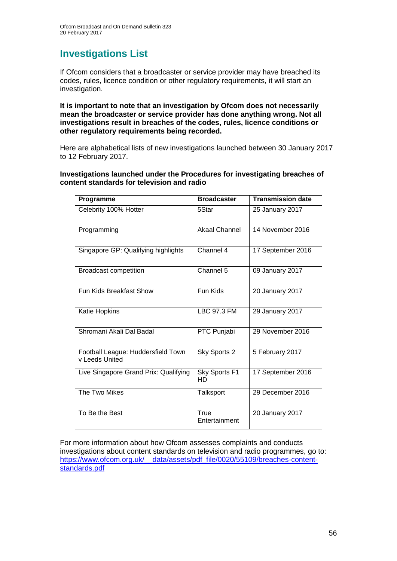## **Investigations List**

If Ofcom considers that a broadcaster or service provider may have breached its codes, rules, licence condition or other regulatory requirements, it will start an investigation.

**It is important to note that an investigation by Ofcom does not necessarily mean the broadcaster or service provider has done anything wrong. Not all investigations result in breaches of the codes, rules, licence conditions or other regulatory requirements being recorded.**

Here are alphabetical lists of new investigations launched between 30 January 2017 to 12 February 2017.

#### **Investigations launched under the Procedures for investigating breaches of content standards for television and radio**

| Programme                                            | <b>Broadcaster</b>    | <b>Transmission date</b> |
|------------------------------------------------------|-----------------------|--------------------------|
| Celebrity 100% Hotter                                | 5Star                 | 25 January 2017          |
| Programming                                          | <b>Akaal Channel</b>  | 14 November 2016         |
| Singapore GP: Qualifying highlights                  | Channel 4             | 17 September 2016        |
| <b>Broadcast competition</b>                         | Channel 5             | 09 January 2017          |
| <b>Fun Kids Breakfast Show</b>                       | Fun Kids              | 20 January 2017          |
| Katie Hopkins                                        | LBC 97.3 FM           | 29 January 2017          |
| Shromani Akali Dal Badal                             | PTC Punjabi           | 29 November 2016         |
| Football League: Huddersfield Town<br>v Leeds United | Sky Sports 2          | 5 February 2017          |
| Live Singapore Grand Prix: Qualifying                | Sky Sports F1<br>HD   | 17 September 2016        |
| The Two Mikes                                        | Talksport             | 29 December 2016         |
| To Be the Best                                       | True<br>Entertainment | 20 January 2017          |

For more information about how Ofcom assesses complaints and conducts investigations about content standards on television and radio programmes, go to: [https://www.ofcom.org.uk/\\_\\_data/assets/pdf\\_file/0020/55109/breaches-content](https://www.ofcom.org.uk/__data/assets/pdf_file/0020/55109/breaches-content-standards.pdf)[standards.pdf](https://www.ofcom.org.uk/__data/assets/pdf_file/0020/55109/breaches-content-standards.pdf)